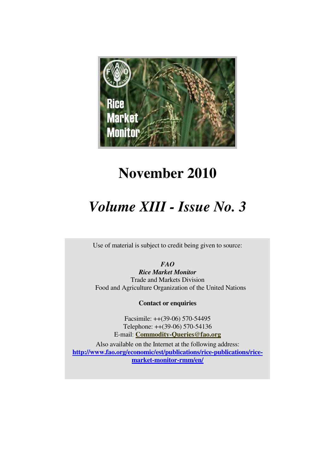

# **November 2010**

# *Volume XIII - Issue No. 3*

Use of material is subject to credit being given to source:

*FAO* 

*Rice Market Monitor*  Trade and Markets Division Food and Agriculture Organization of the United Nations

**Contact or enquiries**

Facsimile: ++(39-06) 570-54495 Telephone: ++(39-06) 570-54136 E-mail: **Commodity-Queries@fao.org**

Also available on the Internet at the following address: **http://www.fao.org/economic/est/publications/rice-publications/ricemarket-monitor-rmm/en/**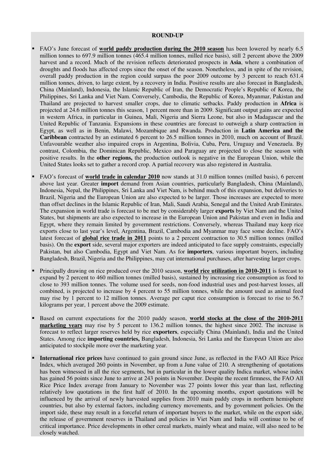#### **ROUND-UP**

- FAO's June forecast of **world paddy production during the 2010 season** has been lowered by nearly 6.5 million tonnes to 697.9 million tonnes (465.4 million tonnes, milled rice basis), still 2 percent above the 2009 harvest and a record. Much of the revision reflects deteriorated prospects in **Asia**, where a combination of droughts and floods has affected crops since the onset of the season. Nonetheless, and in spite of the revision, overall paddy production in the region could surpass the poor 2009 outcome by 3 percent to reach 631.4 million tonnes, driven, to large extent, by a recovery in India. Positive results are also forecast in Bangladesh, China (Mainland), Indonesia, the Islamic Republic of Iran, the Democratic People's Republic of Korea, the Philippines, Sri Lanka and Viet Nam. Conversely, Cambodia, the Republic of Korea, Myanmar, Pakistan and Thailand are projected to harvest smaller crops, due to climatic setbacks. Paddy production in **Africa** is projected at 24.6 million tonnes this season, 1 percent more than in 2009. Significant output gains are expected in western Africa, in particular in Guinea, Mali, Nigeria and Sierra Leone, but also in Madagascar and the United Republic of Tanzania. Expansions in these countries are forecast to outweigh a sharp contraction in Egypt, as well as in Benin, Malawi, Mozambique and Rwanda. Production in **Latin America and the Caribbean** contracted by an estimated 6 percent to 26.5 million tonnes in 2010, much on account of Brazil. Unfavourable weather also impaired crops in Argentina, Bolivia, Cuba, Peru, Uruguay and Venezuela. By contrast, Colombia, the Dominican Republic, Mexico and Paraguay are projected to close the season with positive results. In the **other regions,** the production outlook is negative in the European Union, while the United States looks set to gather a record crop. A partial recovery was also registered in Australia.
- FAO's forecast of **world trade in calendar 2010** now stands at 31.0 million tonnes (milled basis), 6 percent above last year. Greater **import** demand from Asian countries, particularly Bangladesh, China (Mainland), Indonesia, Nepal, the Philippines, Sri Lanka and Viet Nam, is behind much of this expansion, but deliveries to Brazil, Nigeria and the European Union are also expected to be larger. Those increases are expected to more than offset declines in the Islamic Republic of Iran, Mali, Saudi Arabia, Senegal and the United Arab Emirates. The expansion in world trade is forecast to be met by considerably larger **exports** by Viet Nam and the United States, but shipments are also expected to increase in the European Union and Pakistan and even in India and Egypt, where they remain limited by government restrictions. Conversely, whereas Thailand may keep rice exports close to last year's level, Argentina, Brazil, Cambodia and Myanmar may face some decline. FAO's latest forecast of **global rice trade in 2011** points to a 2 percent contraction to 30.5 million tonnes (milled basis). On the **export** side, several major exporters are indeed anticipated to face supply constraints, especially Pakistan, but also Cambodia, Egypt and Viet Nam. As for **importers**, various important buyers, including Bangladesh, Brazil, Nigeria and the Philippines, may cut international purchases, after harvesting larger crops.
- Principally drawing on rice produced over the 2010 season, **world rice utilization in 2010-2011** is forecast to expand by 2 percent to 460 million tonnes (milled basis), sustained by increasing rice consumption as food to close to 393 million tonnes. The volume used for seeds, non-food industrial uses and post-harvest losses, all combined, is projected to increase by 4 percent to 55 million tonnes, while the amount used as animal feed may rise by 1 percent to 12 million tonnes. Average per caput rice consumption is forecast to rise to 56.7 kilograms per year, 1 percent above the 2009 estimate.
- Based on current expectations for the 2010 paddy season, **world stocks at the close of the 2010-2011 marketing years** may rise by 5 percent to 136.2 million tonnes, the highest since 2002. The increase is forecast to reflect larger reserves held by rice **exporters**, especially China (Mainland), India and the United States. Among rice **importing countries,** Bangladesh, Indonesia, Sri Lanka and the European Union are also anticipated to stockpile more over the marketing year.
- **International rice prices** have continued to gain ground since June, as reflected in the FAO All Rice Price Index, which averaged 260 points in November, up from a June value of 210. A strengthening of quotations has been witnessed in all the rice segments, but in particular in the lower quality Indica market, whose index has gained 56 points since June to arrive at 243 points in November. Despite the recent firmness, the FAO All Rice Price Index average from January to November was 27 points lower this year than last, reflecting relatively low quotations in the first half of 2010. In the upcoming months, export quotations will be influenced by the arrival of newly harvested supplies from 2010 main paddy crops in northern hemisphere countries, but also by external factors, including currency movements, and by government policies. On the import side, these may result in a forceful return of important buyers to the market, while on the export side, the release of government reserves in Thailand and policies in Viet Nam and India will continue to be of critical importance. Price developments in other cereal markets, mainly wheat and maize, will also need to be closely watched.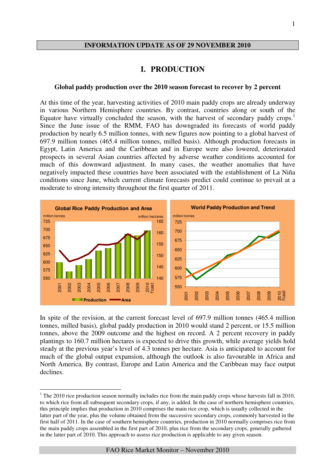#### **INFORMATION UPDATE AS OF 29 NOVEMBER 2010**

#### **I. PRODUCTION**

#### **Global paddy production over the 2010 season forecast to recover by 2 percent**

At this time of the year, harvesting activities of 2010 main paddy crops are already underway in various Northern Hemisphere countries. By contrast, countries along or south of the Equator have virtually concluded the season, with the harvest of secondary paddy crops.<sup>1</sup> Since the June issue of the RMM, FAO has downgraded its forecasts of world paddy production by nearly 6.5 million tonnes, with new figures now pointing to a global harvest of 697.9 million tonnes (465.4 million tonnes, milled basis). Although production forecasts in Egypt, Latin America and the Caribbean and in Europe were also lowered, deteriorated prospects in several Asian countries affected by adverse weather conditions accounted for much of this downward adjustment. In many cases, the weather anomalies that have negatively impacted these countries have been associated with the establishment of La Niña conditions since June, which current climate forecasts predict could continue to prevail at a moderate to strong intensity throughout the first quarter of 2011.



In spite of the revision, at the current forecast level of 697.9 million tonnes (465.4 million tonnes, milled basis), global paddy production in 2010 would stand 2 percent, or 15.5 million tonnes, above the 2009 outcome and the highest on record. A 2 percent recovery in paddy plantings to 160.7 million hectares is expected to drive this growth, while average yields hold steady at the previous year's level of 4.3 tonnes per hectare. Asia is anticipated to account for much of the global output expansion, although the outlook is also favourable in Africa and North America. By contrast, Europe and Latin America and the Caribbean may face output declines.

 $\overline{a}$ 

 $1$  The 2010 rice production season normally includes rice from the main paddy crops whose harvests fall in 2010, to which rice from all subsequent secondary crops, if any, is added. In the case of northern hemisphere countries, this principle implies that production in 2010 comprises the main rice crop, which is usually collected in the latter part of the year, plus the volume obtained from the successive secondary crops, commonly harvested in the first half of 2011. In the case of southern hemisphere countries, production in 2010 normally comprises rice from the main paddy crops assembled in the first part of 2010, plus rice from the secondary crops, generally gathered in the latter part of 2010. This approach to assess rice production is applicable to any given season.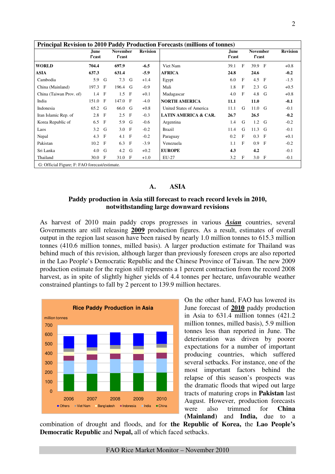|                         | June<br>f'cast |              | <b>November</b><br>f'cast |              | <b>Revision</b> |                                 | June<br>f'cast |              | <b>November</b><br>f'cast |             | <b>Revision</b> |
|-------------------------|----------------|--------------|---------------------------|--------------|-----------------|---------------------------------|----------------|--------------|---------------------------|-------------|-----------------|
| <b>WORLD</b>            | 704.4          |              | 697.9                     |              | $-6.5$          | Viet Nam                        | 39.1           | $\mathbf{F}$ | 39.9 F                    |             | $+0.8$          |
| ASIA                    | 637.3          |              | 631.4                     |              | $-5.9$          | <b>AFRICA</b>                   | 24.8           |              | 24.6                      |             | $-0.2$          |
| Cambodia                | 5.9            | G            | 7.3                       | G            | $+1.4$          | Egypt                           | 6.0            | $\mathbf F$  | 4.5 F                     |             | $-1.5$          |
| China (Mainland)        | 197.3          | - F          | 196.4                     | G            | $-0.9$          | Mali                            | 1.8            | $\mathbf{F}$ | $2.3$ G                   |             | $+0.5$          |
| China (Taiwan Prov. of) | 1.4            | $\mathbf{F}$ | 1.5                       | $\mathbf{F}$ | $+0.1$          | Madagascar                      | 4.0            | $\mathbf{F}$ | 4.8                       | G           | $+0.8$          |
| India                   | 151.0          | $\mathbf{F}$ | 147.0 F                   |              | $-4.0$          | <b>NORTH AMERICA</b>            | 11.1           |              | 11.0                      |             | $-0.1$          |
| Indonesia               | 65.2           | G            | 66.0                      | G            | $+0.8$          | United States of America        | 11.1           | G            | $11.0$ G                  |             | $-0.1$          |
| Iran Islamic Rep. of    | 2.8            | $\mathbf{F}$ | 2.5                       | $\mathbf{F}$ | $-0.3$          | <b>LATIN AMERICA &amp; CAR.</b> | 26.7           |              | 26.5                      |             | $-0.2$          |
| Korea Republic of       | 6.5            | $\mathbf{F}$ | 5.9                       | G            | $-0.6$          | Argentina                       | 1.4            | G            | $1.2$ G                   |             | $-0.2$          |
| Laos                    | 3.2            | G            | $3.0$ F                   |              | $-0.2$          | Brazil                          | 11.4           | G            | 11.3                      | G           | $-0.1$          |
| Nepal                   | 4.3            | $\mathbf{F}$ | 4.1                       | $\mathbf{F}$ | $-0.2$          | Paraguay                        | 0.2            | $\mathbf{F}$ | 0.3                       | - F         | $+0.1$          |
| Pakistan                | 10.2           | $\mathbf{F}$ | 6.3                       | $\mathbf{F}$ | $-3.9$          | Venezuela                       | 1.1            | F            | 0.9                       | $\mathbf F$ | $-0.2$          |
| Sri Lanka               | 4.0            | G            | 4.2                       | G            | $+0.2$          | <b>EUROPE</b>                   | 4.3            |              | 4.2                       |             | $-0.1$          |
| Thailand                | 30.0 F         |              | 31.0 F                    |              | $+1.0$          | EU-27                           | 3.2            | $\mathbf F$  | $3.0$ F                   |             | $-0.1$          |

#### **A. ASIA**

#### **Paddy production in Asia still forecast to reach record levels in 2010, notwithstanding large downward revisions**

As harvest of 2010 main paddy crops progresses in various *Asian* countries, several Governments are still releasing **2009** production figures. As a result, estimates of overall output in the region last season have been raised by nearly 1.0 million tonnes to 615.3 million tonnes (410.6 million tonnes, milled basis). A larger production estimate for Thailand was behind much of this revision, although larger than previously foreseen crops are also reported in the Lao People's Democratic Republic and the Chinese Province of Taiwan. The new 2009 production estimate for the region still represents a 1 percent contraction from the record 2008 harvest, as in spite of slightly higher yields of 4.4 tonnes per hectare, unfavourable weather constrained plantings to fall by 2 percent to 139.9 million hectares.



On the other hand, FAO has lowered its June forecast of **2010** paddy production in Asia to 631.4 million tonnes (421.2 million tonnes, milled basis), 5.9 million tonnes less than reported in June. The deterioration was driven by poorer expectations for a number of important producing countries, which suffered several setbacks. For instance, one of the most important factors behind the relapse of this season's prospects was the dramatic floods that wiped out large tracts of maturing crops in **Pakistan** last August. However, production forecasts were also trimmed for **China (Mainland)** and **India,** due to a

combination of drought and floods, and for **the Republic of Korea,** the **Lao People's Democratic Republic** and **Nepal,** all of which faced setbacks.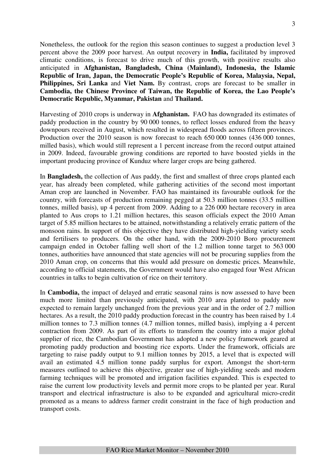Nonetheless, the outlook for the region this season continues to suggest a production level 3 percent above the 2009 poor harvest. An output recovery in **India,** facilitated by improved climatic conditions, is forecast to drive much of this growth, with positive results also anticipated in **Afghanistan, Bangladesh, China (Mainland), Indonesia, the Islamic Republic of Iran, Japan, the Democratic People's Republic of Korea, Malaysia, Nepal, Philippines, Sri Lanka and Viet Nam.** By contrast, crops are forecast to be smaller in **Cambodia, the Chinese Province of Taiwan, the Republic of Korea, the Lao People's Democratic Republic, Myanmar, Pakistan** and **Thailand.** 

Harvesting of 2010 crops is underway in **Afghanistan.** FAO has downgraded its estimates of paddy production in the country by 90 000 tonnes, to reflect losses endured from the heavy downpours received in August, which resulted in widespread floods across fifteen provinces. Production over the 2010 season is now forecast to reach 650 000 tonnes (436 000 tonnes, milled basis), which would still represent a 1 percent increase from the record output attained in 2009. Indeed, favourable growing conditions are reported to have boosted yields in the important producing province of Kunduz where larger crops are being gathered.

In **Bangladesh,** the collection of Aus paddy, the first and smallest of three crops planted each year, has already been completed, while gathering activities of the second most important Aman crop are launched in November. FAO has maintained its favourable outlook for the country, with forecasts of production remaining pegged at 50.3 million tonnes (33.5 million tonnes, milled basis), up 4 percent from 2009. Adding to a 226 000 hectare recovery in area planted to Aus crops to 1.21 million hectares, this season officials expect the 2010 Aman target of 5.85 million hectares to be attained, notwithstanding a relatively erratic pattern of the monsoon rains. In support of this objective they have distributed high-yielding variety seeds and fertilisers to producers. On the other hand, with the 2009-2010 Boro procurement campaign ended in October falling well short of the 1.2 million tonne target to 563 000 tonnes, authorities have announced that state agencies will not be procuring supplies from the 2010 Aman crop, on concerns that this would add pressure on domestic prices. Meanwhile, according to official statements, the Government would have also engaged four West African countries in talks to begin cultivation of rice on their territory.

In **Cambodia,** the impact of delayed and erratic seasonal rains is now assessed to have been much more limited than previously anticipated, with 2010 area planted to paddy now expected to remain largely unchanged from the previous year and in the order of 2.7 million hectares. As a result, the 2010 paddy production forecast in the country has been raised by 1.4 million tonnes to 7.3 million tonnes (4.7 million tonnes, milled basis), implying a 4 percent contraction from 2009. As part of its efforts to transform the country into a major global supplier of rice, the Cambodian Government has adopted a new policy framework geared at promoting paddy production and boosting rice exports. Under the framework, officials are targeting to raise paddy output to 9.1 million tonnes by 2015, a level that is expected will avail an estimated 4.5 million tonne paddy surplus for export. Amongst the short-term measures outlined to achieve this objective, greater use of high-yielding seeds and modern farming techniques will be promoted and irrigation facilities expanded. This is expected to raise the current low productivity levels and permit more crops to be planted per year. Rural transport and electrical infrastructure is also to be expanded and agricultural micro-credit promoted as a means to address farmer credit constraint in the face of high production and transport costs.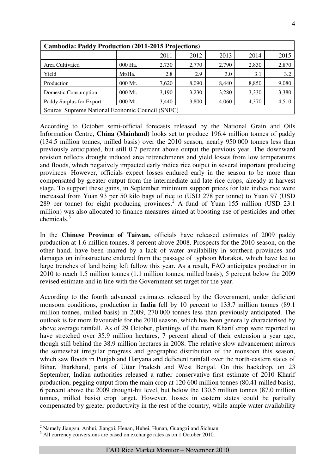|                                                  | <b>Cambodia: Paddy Production (2011-2015 Projections)</b> |       |       |       |       |       |  |  |  |  |  |  |
|--------------------------------------------------|-----------------------------------------------------------|-------|-------|-------|-------|-------|--|--|--|--|--|--|
|                                                  |                                                           | 2011  | 2012  | 2013  | 2014  | 2015  |  |  |  |  |  |  |
| Area Cultivated                                  | 000 Ha.                                                   | 2,730 | 2,770 | 2,790 | 2,830 | 2,870 |  |  |  |  |  |  |
| Yield                                            | Mt/Ha.                                                    | 2.8   | 2.9   | 3.0   | 3.1   | 3.2   |  |  |  |  |  |  |
| Production                                       | 000 Mt.                                                   | 7.620 | 8.090 | 8.440 | 8,850 | 9,080 |  |  |  |  |  |  |
| Domestic Consumption                             | 000 Mt.                                                   | 3,190 | 3,230 | 3,280 | 3,330 | 3,380 |  |  |  |  |  |  |
| Paddy Surplus for Export                         | 000 Mt.                                                   | 3,440 | 3,800 | 4,060 | 4,370 | 4,510 |  |  |  |  |  |  |
| Source: Supreme National Economic Council (SNEC) |                                                           |       |       |       |       |       |  |  |  |  |  |  |

According to October semi-official forecasts released by the National Grain and Oils Information Centre, **China (Mainland)** looks set to produce 196.4 million tonnes of paddy (134.5 million tonnes, milled basis) over the 2010 season, nearly 950 000 tonnes less than previously anticipated, but still 0.7 percent above output the previous year. The downward revision reflects drought induced area retrenchments and yield losses from low temperatures and floods, which negatively impacted early indica rice output in several important producing provinces. However, officials expect losses endured early in the season to be more than compensated by greater output from the intermediate and late rice crops, already at harvest stage. To support these gains, in September minimum support prices for late indica rice were increased from Yuan 93 per 50 kilo bags of rice to (USD 278 per tonne) to Yuan 97 (USD 289 per tonne) for eight producing provinces.<sup>2</sup> A fund of Yuan 155 million (USD 23.1) million) was also allocated to finance measures aimed at boosting use of pesticides and other chemicals.<sup>3</sup>

In the **Chinese Province of Taiwan,** officials have released estimates of 2009 paddy production at 1.6 million tonnes, 8 percent above 2008. Prospects for the 2010 season, on the other hand, have been marred by a lack of water availability in southern provinces and damages on infrastructure endured from the passage of typhoon Morakot, which have led to large trenches of land being left fallow this year. As a result, FAO anticipates production in 2010 to reach 1.5 million tonnes (1.1 million tonnes, milled basis), 5 percent below the 2009 revised estimate and in line with the Government set target for the year.

According to the fourth advanced estimates released by the Government, under deficient monsoon conditions, production in **India** fell by 10 percent to 133.7 million tonnes (89.1 million tonnes, milled basis) in 2009, 270 000 tonnes less than previously anticipated. The outlook is far more favourable for the 2010 season, which has been generally characterised by above average rainfall. As of 29 October, plantings of the main Kharif crop were reported to have stretched over 35.9 million hectares, 7 percent ahead of their extension a year ago, though still behind the 38.9 million hectares in 2008. The relative slow advancement mirrors the somewhat irregular progress and geographic distribution of the monsoon this season, which saw floods in Punjab and Haryana and deficient rainfall over the north-eastern states of Bihar, Jharkhand, parts of Uttar Pradesh and West Bengal. On this backdrop, on 23 September, Indian authorities released a rather conservative first estimate of 2010 Kharif production, pegging output from the main crop at 120 600 million tonnes (80.41 milled basis), 6 percent above the 2009 drought-hit level, but below the 130.5 million tonnes (87.0 million tonnes, milled basis) crop target. However, losses in eastern states could be partially compensated by greater productivity in the rest of the country, while ample water availability

 $\overline{a}$ 

<sup>&</sup>lt;sup>2</sup> Namely Jiangsu, Anhui, Jiangxi, Henan, Hubei, Hunan, Guangxi and Sichuan.

<sup>&</sup>lt;sup>3</sup> All currency conversions are based on exchange rates as on 1 October 2010.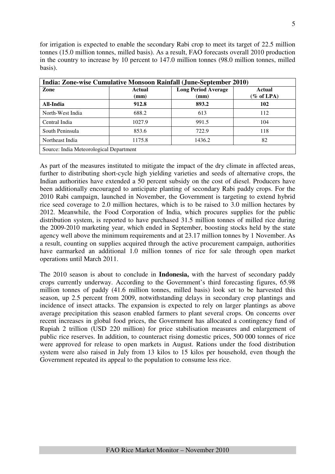for irrigation is expected to enable the secondary Rabi crop to meet its target of 22.5 million tonnes (15.0 million tonnes, milled basis). As a result, FAO forecasts overall 2010 production in the country to increase by 10 percent to 147.0 million tonnes (98.0 million tonnes, milled basis).

|                                         |                | India: Zone-wise Cumulative Monsoon Rainfall (June-September 2010) |                               |
|-----------------------------------------|----------------|--------------------------------------------------------------------|-------------------------------|
| Zone                                    | Actual<br>(mm) | <b>Long Period Average</b><br>(mm)                                 | <b>Actual</b><br>$\%$ of LPA) |
| All-India                               | 912.8          | 893.2                                                              | 102                           |
| North-West India                        | 688.2          | 613                                                                | 112                           |
| Central India                           | 1027.9         | 991.5                                                              | 104                           |
| South Peninsula                         | 853.6          | 722.9                                                              | 118                           |
| Northeast India                         | 1175.8         | 1436.2                                                             | 82                            |
| Source: India Meteorological Department |                |                                                                    |                               |

As part of the measures instituted to mitigate the impact of the dry climate in affected areas, further to distributing short-cycle high yielding varieties and seeds of alternative crops, the Indian authorities have extended a 50 percent subsidy on the cost of diesel. Producers have been additionally encouraged to anticipate planting of secondary Rabi paddy crops. For the 2010 Rabi campaign, launched in November, the Government is targeting to extend hybrid rice seed coverage to 2.0 million hectares, which is to be raised to 3.0 million hectares by 2012. Meanwhile, the Food Corporation of India, which procures supplies for the public distribution system, is reported to have purchased 31.5 million tonnes of milled rice during the 2009-2010 marketing year, which ended in September, boosting stocks held by the state agency well above the minimum requirements and at 23.17 million tonnes by 1 November. As a result, counting on supplies acquired through the active procurement campaign, authorities have earmarked an additional 1.0 million tonnes of rice for sale through open market operations until March 2011.

The 2010 season is about to conclude in **Indonesia,** with the harvest of secondary paddy crops currently underway. According to the Government's third forecasting figures, 65.98 million tonnes of paddy (41.6 million tonnes, milled basis) look set to be harvested this season, up 2.5 percent from 2009, notwithstanding delays in secondary crop plantings and incidence of insect attacks. The expansion is expected to rely on larger plantings as above average precipitation this season enabled farmers to plant several crops. On concerns over recent increases in global food prices, the Government has allocated a contingency fund of Rupiah 2 trillion (USD 220 million) for price stabilisation measures and enlargement of public rice reserves. In addition, to counteract rising domestic prices, 500 000 tonnes of rice were approved for release to open markets in August. Rations under the food distribution system were also raised in July from 13 kilos to 15 kilos per household, even though the Government repeated its appeal to the population to consume less rice.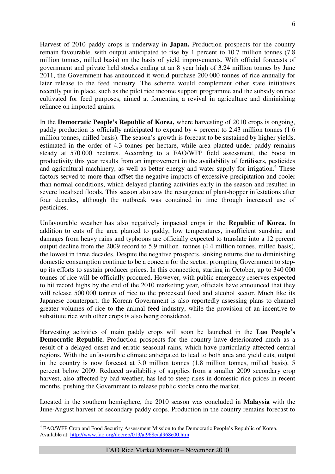Harvest of 2010 paddy crops is underway in **Japan.** Production prospects for the country remain favourable, with output anticipated to rise by 1 percent to 10.7 million tonnes (7.8 million tonnes, milled basis) on the basis of yield improvements. With official forecasts of government and private held stocks ending at an 8 year high of 3.24 million tonnes by June 2011, the Government has announced it would purchase 200 000 tonnes of rice annually for later release to the feed industry. The scheme would complement other state initiatives recently put in place, such as the pilot rice income support programme and the subsidy on rice cultivated for feed purposes, aimed at fomenting a revival in agriculture and diminishing reliance on imported grains.

In the **Democratic People's Republic of Korea,** where harvesting of 2010 crops is ongoing, paddy production is officially anticipated to expand by 4 percent to 2.43 million tonnes (1.6 million tonnes, milled basis). The season's growth is forecast to be sustained by higher yields, estimated in the order of 4.3 tonnes per hectare, while area planted under paddy remains steady at 570 000 hectares. According to a FAO/WFP field assessment, the boost in productivity this year results from an improvement in the availability of fertilisers, pesticides and agricultural machinery, as well as better energy and water supply for irrigation.<sup>4</sup> These factors served to more than offset the negative impacts of excessive precipitation and cooler than normal conditions, which delayed planting activities early in the season and resulted in severe localised floods. This season also saw the resurgence of plant-hopper infestations after four decades, although the outbreak was contained in time through increased use of pesticides.

Unfavourable weather has also negatively impacted crops in the **Republic of Korea.** In addition to cuts of the area planted to paddy, low temperatures, insufficient sunshine and damages from heavy rains and typhoons are officially expected to translate into a 12 percent output decline from the 2009 record to 5.9 million tonnes (4.4 million tonnes, milled basis), the lowest in three decades. Despite the negative prospects, sinking returns due to diminishing domestic consumption continue to be a concern for the sector, prompting Government to stepup its efforts to sustain producer prices. In this connection, starting in October, up to 340 000 tonnes of rice will be officially procured. However, with public emergency reserves expected to hit record highs by the end of the 2010 marketing year, officials have announced that they will release 500 000 tonnes of rice to the processed food and alcohol sector. Much like its Japanese counterpart, the Korean Government is also reportedly assessing plans to channel greater volumes of rice to the animal feed industry, while the provision of an incentive to substitute rice with other crops is also being considered.

Harvesting activities of main paddy crops will soon be launched in the **Lao People's Democratic Republic.** Production prospects for the country have deteriorated much as a result of a delayed onset and erratic seasonal rains, which have particularly affected central regions. With the unfavourable climate anticipated to lead to both area and yield cuts, output in the country is now forecast at 3.0 million tonnes (1.8 million tonnes, milled basis), 5 percent below 2009. Reduced availability of supplies from a smaller 2009 secondary crop harvest, also affected by bad weather, has led to steep rises in domestic rice prices in recent months, pushing the Government to release public stocks onto the market.

Located in the southern hemisphere, the 2010 season was concluded in **Malaysia** with the June-August harvest of secondary paddy crops. Production in the country remains forecast to

 $\overline{a}$ 

<sup>&</sup>lt;sup>4</sup> FAO/WFP Crop and Food Security Assessment Mission to the Democratic People's Republic of Korea. Available at: http://www.fao.org/docrep/013/al968e/al968e00.htm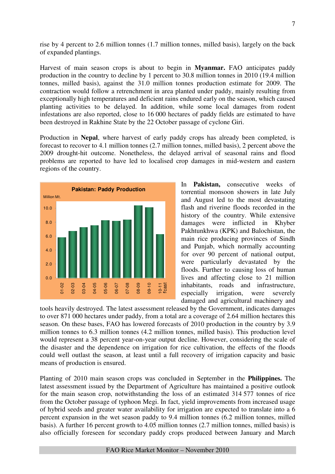rise by 4 percent to 2.6 million tonnes (1.7 million tonnes, milled basis), largely on the back of expanded plantings.

Harvest of main season crops is about to begin in **Myanmar.** FAO anticipates paddy production in the country to decline by 1 percent to 30.8 million tonnes in 2010 (19.4 million tonnes, milled basis), against the 31.0 million tonnes production estimate for 2009. The contraction would follow a retrenchment in area planted under paddy, mainly resulting from exceptionally high temperatures and deficient rains endured early on the season, which caused planting activities to be delayed. In addition, while some local damages from rodent infestations are also reported, close to 16 000 hectares of paddy fields are estimated to have been destroyed in Rakhine State by the 22 October passage of cyclone Giri.

Production in **Nepal**, where harvest of early paddy crops has already been completed, is forecast to recover to 4.1 million tonnes (2.7 million tonnes, milled basis), 2 percent above the 2009 drought-hit outcome. Nonetheless, the delayed arrival of seasonal rains and flood problems are reported to have led to localised crop damages in mid-western and eastern regions of the country.



In **Pakistan,** consecutive weeks of torrential monsoon showers in late July and August led to the most devastating flash and riverine floods recorded in the history of the country. While extensive damages were inflicted in Khyber Pakhtunkhwa (KPK) and Balochistan, the main rice producing provinces of Sindh and Punjab, which normally accounting for over 90 percent of national output, were particularly devastated by the floods. Further to causing loss of human lives and affecting close to 21 million inhabitants, roads and infrastructure, especially irrigation, were severely damaged and agricultural machinery and

tools heavily destroyed. The latest assessment released by the Government, indicates damages to over 871 000 hectares under paddy, from a total are a coverage of 2.64 million hectares this season. On these bases, FAO has lowered forecasts of 2010 production in the country by 3.9 million tonnes to 6.3 million tonnes (4.2 million tonnes, milled basis). This production level would represent a 38 percent year-on-year output decline. However, considering the scale of the disaster and the dependence on irrigation for rice cultivation, the effects of the floods could well outlast the season, at least until a full recovery of irrigation capacity and basic means of production is ensured.

Planting of 2010 main season crops was concluded in September in the **Philippines.** The latest assessment issued by the Department of Agriculture has maintained a positive outlook for the main season crop, notwithstanding the loss of an estimated 314 577 tonnes of rice from the October passage of typhoon Megi. In fact, yield improvements from increased usage of hybrid seeds and greater water availability for irrigation are expected to translate into a 6 percent expansion in the wet season paddy to 9.4 million tonnes (6.2 million tonnes, milled basis). A further 16 percent growth to 4.05 million tonnes (2.7 million tonnes, milled basis) is also officially foreseen for secondary paddy crops produced between January and March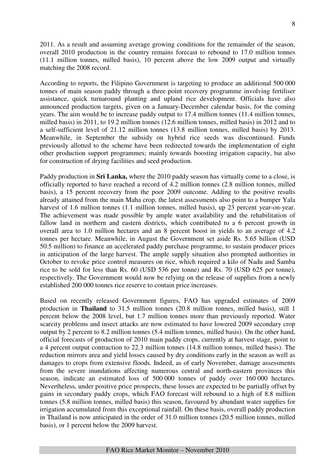2011. As a result and assuming average growing conditions for the remainder of the season, overall 2010 production in the country remains forecast to rebound to 17.0 million tonnes (11.1 million tonnes, milled basis), 10 percent above the low 2009 output and virtually matching the 2008 record.

According to reports, the Filipino Government is targeting to produce an additional 500 000 tonnes of main season paddy through a three point recovery programme involving fertiliser assistance, quick turnaround planting and upland rice development. Officials have also announced production targets, given on a January-December calendar basis, for the coming years. The aim would be to increase paddy output to 17.4 million tonnes (11.4 million tonnes, milled basis) in 2011, to 19.2 million tonnes (12.6 million tonnes, milled basis) in 2012 and to a self-sufficient level of 21.12 million tonnes (13.8 million tonnes, milled basis) by 2013. Meanwhile, in September the subsidy on hybrid rice seeds was discontinued. Funds previously allotted to the scheme have been redirected towards the implementation of eight other production support programmes; mainly towards boosting irrigation capacity, but also for construction of drying facilities and seed production.

Paddy production in **Sri Lanka,** where the 2010 paddy season has virtually come to a close, is officially reported to have reached a record of 4.2 million tonnes (2.8 million tonnes, milled basis), a 15 percent recovery from the poor 2009 outcome. Adding to the positive results already attained from the main Maha crop, the latest assessments also point to a bumper Yala harvest of 1.6 million tonnes (1.1 million tonnes, milled basis), up 23 percent year-on-year. The achievement was made possible by ample water availability and the rehabilitation of fallow land in northern and eastern districts, which contributed to a 6 percent growth in overall area to 1.0 million hectares and an 8 percent boost in yields to an average of 4.2 tonnes per hectare. Meanwhile, in August the Government set aside Rs. 5.65 billion (USD 50.5 million) to finance an accelerated paddy purchase programme, to sustain producer prices in anticipation of the large harvest. The ample supply situation also prompted authorities in October to revoke price control measures on rice, which required a kilo of Nadu and Samba rice to be sold for less than Rs. 60 (USD 536 per tonne) and Rs. 70 (USD 625 per tonne), respectively. The Government would now be relying on the release of supplies from a newly established 200 000 tonnes rice reserve to contain price increases.

Based on recently released Government figures, FAO has upgraded estimates of 2009 production in **Thailand** to 31.5 million tonnes (20.8 million tonnes, milled basis), still 1 percent below the 2008 level, but 1.7 million tonnes more than previously reported. Water scarcity problems and insect attacks are now estimated to have lowered 2009 secondary crop output by 2 percent to 8.2 million tonnes (5.4 million tonnes, milled basis). On the other hand, official forecasts of production of 2010 main paddy crops, currently at harvest stage, point to a 4 percent output contraction to 22.3 million tonnes (14.8 million tonnes, milled basis). The reduction mirrors area and yield losses caused by dry conditions early in the season as well as damages to crops from extensive floods. Indeed, as of early November, damage assessments from the severe inundations affecting numerous central and north-eastern provinces this season, indicate an estimated loss of 500 000 tonnes of paddy over 160 000 hectares. Nevertheless, under positive price prospects, these losses are expected to be partially offset by gains in secondary paddy crops, which FAO forecast will rebound to a high of 8.8 million tonnes (5.8 million tonnes, milled basis) this season, favoured by abundant water supplies for irrigation accumulated from this exceptional rainfall. On these basis, overall paddy production in Thailand is now anticipated in the order of 31.0 million tonnes (20.5 million tonnes, milled basis), or 1 percent below the 2009 harvest.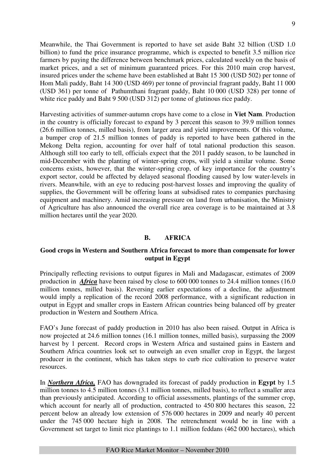Meanwhile, the Thai Government is reported to have set aside Baht 32 billion (USD 1.0 billion) to fund the price insurance programme, which is expected to benefit 3.5 million rice farmers by paying the difference between benchmark prices, calculated weekly on the basis of market prices, and a set of minimum guaranteed prices. For this 2010 main crop harvest, insured prices under the scheme have been established at Baht 15 300 (USD 502) per tonne of Hom Mali paddy, Baht 14 300 (USD 469) per tonne of provincial fragrant paddy, Baht 11 000 (USD 361) per tonne of Pathumthani fragrant paddy, Baht 10 000 (USD 328) per tonne of white rice paddy and Baht 9 500 (USD 312) per tonne of glutinous rice paddy.

Harvesting activities of summer-autumn crops have come to a close in **Viet Nam**. Production in the country is officially forecast to expand by 3 percent this season to 39.9 million tonnes (26.6 million tonnes, milled basis), from larger area and yield improvements. Of this volume, a bumper crop of 21.5 million tonnes of paddy is reported to have been gathered in the Mekong Delta region, accounting for over half of total national production this season. Although still too early to tell, officials expect that the 2011 paddy season, to be launched in mid-December with the planting of winter-spring crops, will yield a similar volume. Some concerns exists, however, that the winter-spring crop, of key importance for the country's export sector, could be affected by delayed seasonal flooding caused by low water-levels in rivers. Meanwhile, with an eye to reducing post-harvest losses and improving the quality of supplies, the Government will be offering loans at subsidised rates to companies purchasing equipment and machinery. Amid increasing pressure on land from urbanisation, the Ministry of Agriculture has also announced the overall rice area coverage is to be maintained at 3.8 million hectares until the year 2020.

# **B. AFRICA**

# **Good crops in Western and Southern Africa forecast to more than compensate for lower output in Egypt**

Principally reflecting revisions to output figures in Mali and Madagascar, estimates of 2009 production in *Africa* have been raised by close to 600 000 tonnes to 24.4 million tonnes (16.0 million tonnes, milled basis). Reversing earlier expectations of a decline, the adjustment would imply a replication of the record 2008 performance, with a significant reduction in output in Egypt and smaller crops in Eastern African countries being balanced off by greater production in Western and Southern Africa.

FAO's June forecast of paddy production in 2010 has also been raised. Output in Africa is now projected at 24.6 million tonnes (16.1 million tonnes, milled basis), surpassing the 2009 harvest by 1 percent. Record crops in Western Africa and sustained gains in Eastern and Southern Africa countries look set to outweigh an even smaller crop in Egypt, the largest producer in the continent, which has taken steps to curb rice cultivation to preserve water resources.

In *Northern Africa,* FAO has downgraded its forecast of paddy production in **Egypt** by 1.5 million tonnes to 4.5 million tonnes (3.1 million tonnes, milled basis), to reflect a smaller area than previously anticipated. According to official assessments, plantings of the summer crop, which account for nearly all of production, contracted to 450 800 hectares this season, 22 percent below an already low extension of 576 000 hectares in 2009 and nearly 40 percent under the 745 000 hectare high in 2008. The retrenchment would be in line with a Government set target to limit rice plantings to 1.1 million feddans (462 000 hectares), which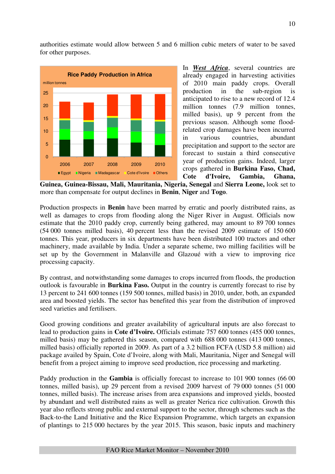authorities estimate would allow between 5 and 6 million cubic meters of water to be saved for other purposes.



In *West Africa*, several countries are already engaged in harvesting activities of 2010 main paddy crops. Overall production in the sub-region is anticipated to rise to a new record of 12.4 million tonnes (7.9 million tonnes, milled basis), up 9 percent from the previous season. Although some floodrelated crop damages have been incurred in various countries, abundant precipitation and support to the sector are forecast to sustain a third consecutive year of production gains. Indeed, larger crops gathered in **Burkina Faso, Chad, Cote d'Ivoire, Gambia, Ghana,** 

**Guinea, Guinea-Bissau, Mali, Mauritania, Nigeria, Senegal** and **Sierra Leone,** look set to more than compensate for output declines in **Benin**, **Niger** and **Togo**.

Production prospects in **Benin** have been marred by erratic and poorly distributed rains, as well as damages to crops from flooding along the Niger River in August. Officials now estimate that the 2010 paddy crop, currently being gathered, may amount to 89 700 tonnes (54 000 tonnes milled basis), 40 percent less than the revised 2009 estimate of 150 600 tonnes. This year, producers in six departments have been distributed 100 tractors and other machinery, made available by India. Under a separate scheme, two milling facilities will be set up by the Government in Malanville and Glazoué with a view to improving rice processing capacity.

By contrast, and notwithstanding some damages to crops incurred from floods, the production outlook is favourable in **Burkina Faso.** Output in the country is currently forecast to rise by 13 percent to 241 600 tonnes (159 500 tonnes, milled basis) in 2010, under, both, an expanded area and boosted yields. The sector has benefited this year from the distribution of improved seed varieties and fertilisers.

Good growing conditions and greater availability of agricultural inputs are also forecast to lead to production gains in **Cote d'Ivoire.** Officials estimate 757 600 tonnes (455 000 tonnes, milled basis) may be gathered this season, compared with 688 000 tonnes (413 000 tonnes, milled basis) officially reported in 2009. As part of a 3.2 billion FCFA (USD 5.8 million) aid package availed by Spain, Cote d'Ivoire, along with Mali, Mauritania, Niger and Senegal will benefit from a project aiming to improve seed production, rice processing and marketing.

Paddy production in the **Gambia** is officially forecast to increase to 101 900 tonnes (66 00 tonnes, milled basis), up 29 percent from a revised 2009 harvest of 79 000 tonnes (51 000 tonnes, milled basis). The increase arises from area expansions and improved yields, boosted by abundant and well distributed rains as well as greater Nerica rice cultivation. Growth this year also reflects strong public and external support to the sector, through schemes such as the Back-to-the Land Initiative and the Rice Expansion Programme, which targets an expansion of plantings to 215 000 hectares by the year 2015. This season, basic inputs and machinery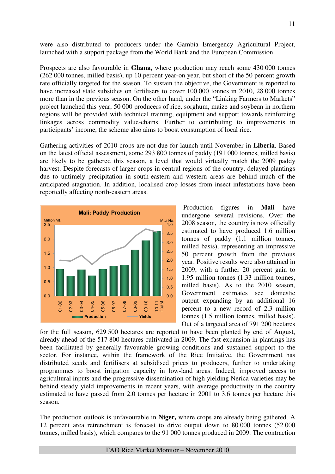were also distributed to producers under the Gambia Emergency Agricultural Project, launched with a support package from the World Bank and the European Commission.

Prospects are also favourable in **Ghana,** where production may reach some 430 000 tonnes (262 000 tonnes, milled basis), up 10 percent year-on year, but short of the 50 percent growth rate officially targeted for the season. To sustain the objective, the Government is reported to have increased state subsidies on fertilisers to cover 100 000 tonnes in 2010, 28 000 tonnes more than in the previous season. On the other hand, under the "Linking Farmers to Markets" project launched this year, 50 000 producers of rice, sorghum, maize and soybean in northern regions will be provided with technical training, equipment and support towards reinforcing linkages across commodity value-chains. Further to contributing to improvements in participants' income, the scheme also aims to boost consumption of local rice.

Gathering activities of 2010 crops are not due for launch until November in **Liberia**. Based on the latest official assessment, some 293 800 tonnes of paddy (191 000 tonnes, milled basis) are likely to be gathered this season, a level that would virtually match the 2009 paddy harvest. Despite forecasts of larger crops in central regions of the country, delayed plantings due to untimely precipitation in south-eastern and western areas are behind much of the anticipated stagnation. In addition, localised crop losses from insect infestations have been reportedly affecting north-eastern areas.



 Production figures in **Mali** have undergone several revisions. Over the 2008 season, the country is now officially estimated to have produced 1.6 million tonnes of paddy (1.1 million tonnes, milled basis), representing an impressive 50 percent growth from the previous year. Positive results were also attained in 2009, with a further 20 percent gain to 1.95 million tonnes (1.33 million tonnes, milled basis). As to the 2010 season, Government estimates see domestic output expanding by an additional 16 percent to a new record of 2.3 million tonnes (1.5 million tonnes, milled basis). Out of a targeted area of 791 200 hectares

for the full season, 629 500 hectares are reported to have been planted by end of August, already ahead of the 517 800 hectares cultivated in 2009. The fast expansion in plantings has been facilitated by generally favourable growing conditions and sustained support to the sector. For instance, within the framework of the Rice Initiative, the Government has distributed seeds and fertilisers at subsidised prices to producers, further to undertaking programmes to boost irrigation capacity in low-land areas. Indeed, improved access to agricultural inputs and the progressive dissemination of high yielding Nerica varieties may be behind steady yield improvements in recent years, with average productivity in the country estimated to have passed from 2.0 tonnes per hectare in 2001 to 3.6 tonnes per hectare this season.

The production outlook is unfavourable in **Niger,** where crops are already being gathered. A 12 percent area retrenchment is forecast to drive output down to 80 000 tonnes (52 000 tonnes, milled basis), which compares to the 91 000 tonnes produced in 2009. The contraction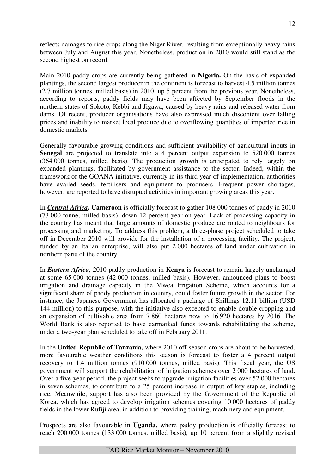reflects damages to rice crops along the Niger River, resulting from exceptionally heavy rains between July and August this year. Nonetheless, production in 2010 would still stand as the second highest on record.

Main 2010 paddy crops are currently being gathered in **Nigeria.** On the basis of expanded plantings, the second largest producer in the continent is forecast to harvest 4.5 million tonnes (2.7 million tonnes, milled basis) in 2010, up 5 percent from the previous year. Nonetheless, according to reports, paddy fields may have been affected by September floods in the northern states of Sokoto, Kebbi and Jigawa, caused by heavy rains and released water from dams. Of recent, producer organisations have also expressed much discontent over falling prices and inability to market local produce due to overflowing quantities of imported rice in domestic markets.

Generally favourable growing conditions and sufficient availability of agricultural inputs in **Senegal** are projected to translate into a 4 percent output expansion to 520 000 tonnes (364 000 tonnes, milled basis). The production growth is anticipated to rely largely on expanded plantings, facilitated by government assistance to the sector. Indeed, within the framework of the GOANA initiative, currently in its third year of implementation, authorities have availed seeds, fertilisers and equipment to producers. Frequent power shortages, however, are reported to have disrupted activities in important growing areas this year.

In *Central Africa***, Cameroon** is officially forecast to gather 108 000 tonnes of paddy in 2010 (73 000 tonne, milled basis), down 12 percent year-on-year. Lack of processing capacity in the country has meant that large amounts of domestic produce are routed to neighbours for processing and marketing. To address this problem, a three-phase project scheduled to take off in December 2010 will provide for the installation of a processing facility. The project, funded by an Italian enterprise, will also put 2 000 hectares of land under cultivation in northern parts of the country.

In *Eastern Africa,* 2010 paddy production in **Kenya** is forecast to remain largely unchanged at some 65 000 tonnes (42 000 tonnes, milled basis). However, announced plans to boost irrigation and drainage capacity in the Mwea Irrigation Scheme, which accounts for a significant share of paddy production in country, could foster future growth in the sector. For instance, the Japanese Government has allocated a package of Shillings 12.11 billion (USD 144 million) to this purpose, with the initiative also excepted to enable double-cropping and an expansion of cultivable area from 7 860 hectares now to 16 920 hectares by 2016. The World Bank is also reported to have earmarked funds towards rehabilitating the scheme, under a two-year plan scheduled to take off in February 2011.

In the **United Republic of Tanzania,** where 2010 off-season crops are about to be harvested, more favourable weather conditions this season is forecast to foster a 4 percent output recovery to 1.4 million tonnes (910 000 tonnes, milled basis). This fiscal year, the US government will support the rehabilitation of irrigation schemes over 2 000 hectares of land. Over a five-year period, the project seeks to upgrade irrigation facilities over 52 000 hectares in seven schemes, to contribute to a 25 percent increase in output of key staples, including rice. Meanwhile, support has also been provided by the Government of the Republic of Korea, which has agreed to develop irrigation schemes covering 10 000 hectares of paddy fields in the lower Rufiji area, in addition to providing training, machinery and equipment.

Prospects are also favourable in **Uganda,** where paddy production is officially forecast to reach 200 000 tonnes (133 000 tonnes, milled basis), up 10 percent from a slightly revised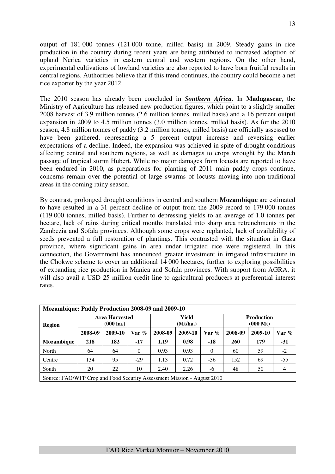output of 181 000 tonnes (121 000 tonne, milled basis) in 2009. Steady gains in rice production in the country during recent years are being attributed to increased adoption of upland Nerica varieties in eastern central and western regions. On the other hand, experimental cultivations of lowland varieties are also reported to have born fruitful results in central regions. Authorities believe that if this trend continues, the country could become a net rice exporter by the year 2012.

The 2010 season has already been concluded in *Southern Africa*. In **Madagascar,** the Ministry of Agriculture has released new production figures, which point to a slightly smaller 2008 harvest of 3.9 million tonnes (2.6 million tonnes, milled basis) and a 16 percent output expansion in 2009 to 4.5 million tonnes (3.0 million tonnes, milled basis). As for the 2010 season, 4.8 million tonnes of paddy (3.2 million tonnes, milled basis) are officially assessed to have been gathered, representing a 5 percent output increase and reversing earlier expectations of a decline. Indeed, the expansion was achieved in spite of drought conditions affecting central and southern regions, as well as damages to crops wrought by the March passage of tropical storm Hubert. While no major damages from locusts are reported to have been endured in 2010, as preparations for planting of 2011 main paddy crops continue, concerns remain over the potential of large swarms of locusts moving into non-traditional areas in the coming rainy season.

By contrast, prolonged drought conditions in central and southern **Mozambique** are estimated to have resulted in a 31 percent decline of output from the 2009 record to 179 000 tonnes (119 000 tonnes, milled basis). Further to depressing yields to an average of 1.0 tonnes per hectare, lack of rains during critical months translated into sharp area retrenchments in the Zambezia and Sofala provinces. Although some crops were replanted, lack of availability of seeds prevented a full restoration of plantings. This contrasted with the situation in Gaza province, where significant gains in area under irrigated rice were registered. In this connection, the Government has announced greater investment in irrigated infrastructure in the Chokwe scheme to cover an additional 14 000 hectares, further to exploring possibilities of expanding rice production in Manica and Sofala provinces. With support from AGRA, it will also avail a USD 25 million credit line to agricultural producers at preferential interest rates.

| Mozambique: Paddy Production 2008-09 and 2009-10 |                                                                         |                                              |          |                   |         |          |                                         |         |                |  |  |
|--------------------------------------------------|-------------------------------------------------------------------------|----------------------------------------------|----------|-------------------|---------|----------|-----------------------------------------|---------|----------------|--|--|
| <b>Region</b>                                    |                                                                         | <b>Area Harvested</b><br>$(000 \text{ ha.})$ |          | Yield<br>(Mt/ha.) |         |          | <b>Production</b><br>$(000 \text{ Mt})$ |         |                |  |  |
|                                                  | 2008-09                                                                 | 2009-10                                      | $Var$ %  | 2008-09           | 2009-10 | Var $\%$ | 2008-09                                 | 2009-10 | Var %          |  |  |
| <b>Mozambique</b>                                | 218                                                                     | 182                                          | $-17$    | 1.19              | 0.98    | $-18$    | <b>260</b>                              | 179     | $-31$          |  |  |
| North                                            | 64                                                                      | 64                                           | $\Omega$ | 0.93              | 0.93    | $\theta$ | 60                                      | 59      | $-2$           |  |  |
| Centre                                           | 134                                                                     | 95                                           | $-29$    | 1.13              | 0.72    | $-36$    | 152                                     | 69      | $-55$          |  |  |
| South                                            | 20                                                                      | 22                                           | 10       | 2.40              | 2.26    | -6       | 48                                      | 50      | $\overline{4}$ |  |  |
|                                                  | Source: FAO/WFP Crop and Food Security Assessment Mission - August 2010 |                                              |          |                   |         |          |                                         |         |                |  |  |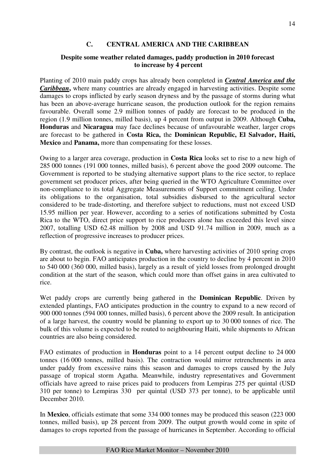# **C. CENTRAL AMERICA AND THE CARIBBEAN**

# **Despite some weather related damages, paddy production in 2010 forecast to increase by 4 percent**

Planting of 2010 main paddy crops has already been completed in *Central America and the Caribbean*, where many countries are already engaged in harvesting activities. Despite some damages to crops inflicted by early season dryness and by the passage of storms during what has been an above-average hurricane season, the production outlook for the region remains favourable. Overall some 2.9 million tonnes of paddy are forecast to be produced in the region (1.9 million tonnes, milled basis), up 4 percent from output in 2009. Although **Cuba, Honduras** and **Nicaragua** may face declines because of unfavourable weather, larger crops are forecast to be gathered in **Costa Rica,** the **Dominican Republic, El Salvador, Haiti, Mexico** and **Panama,** more than compensating for these losses.

Owing to a larger area coverage, production in **Costa Rica** looks set to rise to a new high of 285 000 tonnes (191 000 tonnes, milled basis), 6 percent above the good 2009 outcome. The Government is reported to be studying alternative support plans to the rice sector, to replace government set producer prices, after being queried in the WTO Agriculture Committee over non-compliance to its total Aggregate Measurements of Support commitment ceiling. Under its obligations to the organisation, total subsidies disbursed to the agricultural sector considered to be trade-distorting, and therefore subject to reductions, must not exceed USD 15.95 million per year. However, according to a series of notifications submitted by Costa Rica to the WTO, direct price support to rice producers alone has exceeded this level since 2007, totalling USD 62.48 million by 2008 and USD 91.74 million in 2009, much as a reflection of progressive increases to producer prices.

By contrast, the outlook is negative in **Cuba,** where harvesting activities of 2010 spring crops are about to begin. FAO anticipates production in the country to decline by 4 percent in 2010 to 540 000 (360 000, milled basis), largely as a result of yield losses from prolonged drought condition at the start of the season, which could more than offset gains in area cultivated to rice.

Wet paddy crops are currently being gathered in the **Dominican Republic**. Driven by extended plantings, FAO anticipates production in the country to expand to a new record of 900 000 tonnes (594 000 tonnes, milled basis), 6 percent above the 2009 result. In anticipation of a large harvest, the country would be planning to export up to 30 000 tonnes of rice. The bulk of this volume is expected to be routed to neighbouring Haiti, while shipments to African countries are also being considered.

FAO estimates of production in **Honduras** point to a 14 percent output decline to 24 000 tonnes (16 000 tonnes, milled basis). The contraction would mirror retrenchments in area under paddy from excessive rains this season and damages to crops caused by the July passage of tropical storm Agatha. Meanwhile, industry representatives and Government officials have agreed to raise prices paid to producers from Lempiras 275 per quintal (USD 310 per tonne) to Lempiras 330 per quintal (USD 373 per tonne), to be applicable until December 2010.

In **Mexico**, officials estimate that some 334 000 tonnes may be produced this season (223 000 tonnes, milled basis), up 28 percent from 2009. The output growth would come in spite of damages to crops reported from the passage of hurricanes in September. According to official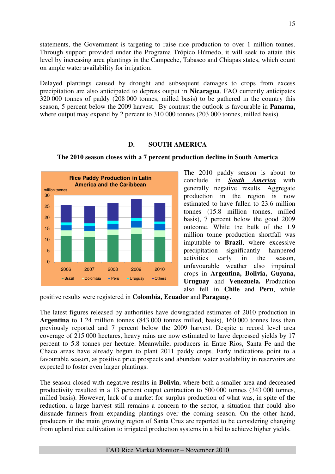statements, the Government is targeting to raise rice production to over 1 million tonnes. Through support provided under the Programa Trópico Húmedo, it will seek to attain this level by increasing area plantings in the Campeche, Tabasco and Chiapas states, which count on ample water availability for irrigation.

Delayed plantings caused by drought and subsequent damages to crops from excess precipitation are also anticipated to depress output in **Nicaragua**. FAO currently anticipates 320 000 tonnes of paddy (208 000 tonnes, milled basis) to be gathered in the country this season, 5 percent below the 2009 harvest. By contrast the outlook is favourable in **Panama,**  where output may expand by 2 percent to 310 000 tonnes (203 000 tonnes, milled basis).

# **D. SOUTH AMERICA**



**The 2010 season closes with a 7 percent production decline in South America** 

The 2010 paddy season is about to conclude in *South America* with generally negative results. Aggregate production in the region is now estimated to have fallen to 23.6 million tonnes (15.8 million tonnes, milled basis), 7 percent below the good 2009 outcome. While the bulk of the 1.9 million tonne production shortfall was imputable to **Brazil**, where excessive precipitation significantly hampered activities early in the season, unfavourable weather also impaired crops in **Argentina, Bolivia, Guyana, Uruguay** and **Venezuela.** Production also fell in **Chile** and **Peru**, while

positive results were registered in **Colombia, Ecuador** and **Paraguay.** 

The latest figures released by authorities have downgraded estimates of 2010 production in **Argentina** to 1.24 million tonnes (843 000 tonnes milled, basis), 160 000 tonnes less than previously reported and 7 percent below the 2009 harvest. Despite a record level area coverage of 215 000 hectares, heavy rains are now estimated to have depressed yields by 17 percent to 5.8 tonnes per hectare. Meanwhile, producers in Entre Rios, Santa Fe and the Chaco areas have already begun to plant 2011 paddy crops. Early indications point to a favourable season, as positive price prospects and abundant water availability in reservoirs are expected to foster even larger plantings.

The season closed with negative results in **Bolivia**, where both a smaller area and decreased productivity resulted in a 13 percent output contraction to 500 000 tonnes (343 000 tonnes, milled basis). However, lack of a market for surplus production of what was, in spite of the reduction, a large harvest still remains a concern to the sector, a situation that could also dissuade farmers from expanding plantings over the coming season. On the other hand, producers in the main growing region of Santa Cruz are reported to be considering changing from upland rice cultivation to irrigated production systems in a bid to achieve higher yields.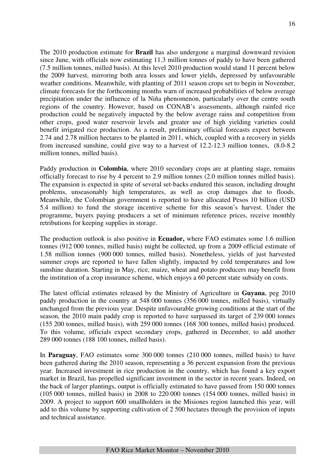The 2010 production estimate for **Brazil** has also undergone a marginal downward revision since June, with officials now estimating 11.3 million tonnes of paddy to have been gathered (7.5 million tonnes, milled basis). At this level 2010 production would stand 11 percent below the 2009 harvest, mirroring both area losses and lower yields, depressed by unfavourable

weather conditions. Meanwhile, with planting of 2011 season crops set to begin in November, climate forecasts for the forthcoming months warn of increased probabilities of below average precipitation under the influence of la Niña phenomenon, particularly over the centre south regions of the country. However, based on CONAB's assessments, although rainfed rice production could be negatively impacted by the below average rains and competition from other crops, good water reservoir levels and greater use of high yielding varieties could benefit irrigated rice production. As a result, preliminary official forecasts expect between 2.74 and 2.78 million hectares to be planted in 2011, which, coupled with a recovery in yields from increased sunshine, could give way to a harvest of 12.2-12.3 million tonnes, (8.0-8.2 million tonnes, milled basis).

Paddy production in **Colombia**, where 2010 secondary crops are at planting stage, remains officially forecast to rise by 4 percent to 2.9 million tonnes (2.0 million tonnes milled basis). The expansion is expected in spite of several set-backs endured this season, including drought problems, unseasonably high temperatures, as well as crop damages due to floods. Meanwhile, the Colombian government is reported to have allocated Pesos 10 billion (USD 5.4 million) to fund the storage incentive scheme for this season's harvest. Under the programme, buyers paying producers a set of minimum reference prices, receive monthly retributions for keeping supplies in storage.

The production outlook is also positive in **Ecuador,** where FAO estimates some 1.6 million tonnes (912 000 tonnes, milled basis) might be collected, up from a 2009 official estimate of 1.58 million tonnes (900 000 tonnes, milled basis). Nonetheless, yields of just harvested summer crops are reported to have fallen slightly, impacted by cold temperatures and low sunshine duration. Starting in May, rice, maize, wheat and potato producers may benefit from the institution of a crop insurance scheme, which enjoys a 60 percent state subsidy on costs.

The latest official estimates released by the Ministry of Agriculture in **Guyana**, peg 2010 paddy production in the country at 548 000 tonnes (356 000 tonnes, milled basis), virtually unchanged from the previous year. Despite unfavourable growing conditions at the start of the season, the 2010 main paddy crop is reported to have surpassed its target of 239 000 tonnes (155 200 tonnes, milled basis), with 259 000 tonnes (168 300 tonnes, milled basis) produced. To this volume, officials expect secondary crops, gathered in December, to add another 289 000 tonnes (188 100 tonnes, milled basis).

In **Paraguay**, FAO estimates some 300 000 tonnes (210 000 tonnes, milled basis) to have been gathered during the 2010 season, representing a 36 percent expansion from the previous year. Increased investment in rice production in the country, which has found a key export market in Brazil, has propelled significant investment in the sector in recent years. Indeed, on the back of larger plantings, output is officially estimated to have passed from 150 000 tonnes (105 000 tonnes, milled basis) in 2008 to 220 000 tonnes (154 000 tonnes, milled basis) in 2009. A project to support 600 smallholders in the Misiones region launched this year, will add to this volume by supporting cultivation of 2 500 hectares through the provision of inputs and technical assistance.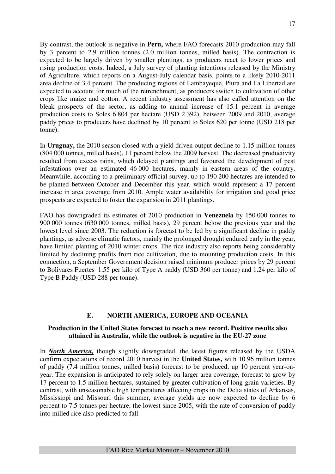By contrast, the outlook is negative in **Peru,** where FAO forecasts 2010 production may fall by 3 percent to 2.9 million tonnes (2.0 million tonnes, milled basis). The contraction is expected to be largely driven by smaller plantings, as producers react to lower prices and rising production costs. Indeed, a July survey of planting intentions released by the Ministry of Agriculture, which reports on a August-July calendar basis, points to a likely 2010-2011 area decline of 3.4 percent. The producing regions of Lambayeque, Piura and La Libertad are expected to account for much of the retrenchment, as producers switch to cultivation of other crops like maize and cotton. A recent industry assessment has also called attention on the bleak prospects of the sector, as adding to annual increase of 15.1 percent in average production costs to Soles 6 804 per hectare (USD 2 392), between 2009 and 2010, average paddy prices to producers have declined by 10 percent to Soles 620 per tonne (USD 218 per tonne).

In **Uruguay,** the 2010 season closed with a yield driven output decline to 1.15 million tonnes (804 000 tonnes, milled basis), 11 percent below the 2009 harvest. The decreased productivity resulted from excess rains, which delayed plantings and favoured the development of pest infestations over an estimated 46 000 hectares, mainly in eastern areas of the country. Meanwhile, according to a preliminary official survey, up to 190 200 hectares are intended to be planted between October and December this year, which would represent a 17 percent increase in area coverage from 2010. Ample water availability for irrigation and good price prospects are expected to foster the expansion in 2011 plantings.

FAO has downgraded its estimates of 2010 production in **Venezuela** by 150 000 tonnes to 900 000 tonnes (630 000 tonnes, milled basis), 29 percent below the previous year and the lowest level since 2003. The reduction is forecast to be led by a significant decline in paddy plantings, as adverse climatic factors, mainly the prolonged drought endured early in the year, have limited planting of 2010 winter crops. The rice industry also reports being considerably limited by declining profits from rice cultivation, due to mounting production costs. In this connection, a September Government decision raised minimum producer prices by 29 percent to Bolivares Fuertes 1.55 per kilo of Type A paddy (USD 360 per tonne) and 1.24 per kilo of Type B Paddy (USD 288 per tonne).

### **E. NORTH AMERICA, EUROPE AND OCEANIA**

#### **Production in the United States forecast to reach a new record. Positive results also attained in Australia, while the outlook is negative in the EU-27 zone**

In *North America,* though slightly downgraded, the latest figures released by the USDA confirm expectations of record 2010 harvest in the **United States,** with 10.96 million tonnes of paddy (7.4 million tonnes, milled basis) forecast to be produced, up 10 percent year-onyear. The expansion is anticipated to rely solely on larger area coverage, forecast to grow by 17 percent to 1.5 million hectares, sustained by greater cultivation of long-grain varieties. By contrast, with unseasonable high temperatures affecting crops in the Delta states of Arkansas, Mississippi and Missouri this summer, average yields are now expected to decline by 6 percent to 7.5 tonnes per hectare, the lowest since 2005, with the rate of conversion of paddy into milled rice also predicted to fall.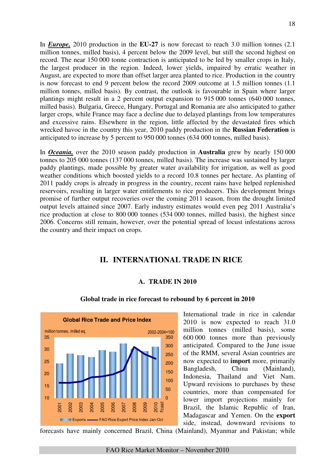In *Europe,* 2010 production in the **EU-27** is now forecast to reach 3.0 million tonnes (2.1 million tonnes, milled basis), 4 percent below the 2009 level, but still the second highest on record. The near 150 000 tonne contraction is anticipated to be led by smaller crops in Italy, the largest producer in the region. Indeed, lower yields, impaired by erratic weather in August, are expected to more than offset larger area planted to rice. Production in the country is now forecast to end 9 percent below the record 2009 outcome at 1.5 million tonnes (1.1 million tonnes, milled basis). By contrast, the outlook is favourable in Spain where larger plantings might result in a 2 percent output expansion to 915 000 tonnes (640 000 tonnes, milled basis). Bulgaria, Greece, Hungary, Portugal and Romania are also anticipated to gather larger crops, while France may face a decline due to delayed plantings from low temperatures and excessive rains. Elsewhere in the region, little affected by the devastated fires which wrecked havoc in the country this year, 2010 paddy production in the **Russian Federation** is anticipated to increase by 5 percent to 950 000 tonnes (634 000 tonnes, milled basis).

In *Oceania,* over the 2010 season paddy production in **Australia** grew by nearly 150 000 tonnes to 205 000 tonnes (137 000 tonnes, milled basis). The increase was sustained by larger paddy plantings, made possible by greater water availability for irrigation, as well as good weather conditions which boosted yields to a record 10.8 tonnes per hectare. As planting of 2011 paddy crops is already in progress in the country, recent rains have helped replenished reservoirs, resulting in larger water entitlements to rice producers. This development brings promise of further output recoveries over the coming 2011 season, from the drought limited output levels attained since 2007. Early industry estimates would even peg 2011 Australia's rice production at close to 800 000 tonnes (534 000 tonnes, milled basis), the highest since 2006. Concerns still remain, however, over the potential spread of locust infestations across the country and their impact on crops.

# **II. INTERNATIONAL TRADE IN RICE**

### **A. TRADE IN 2010**



#### **Global trade in rice forecast to rebound by 6 percent in 2010**

International trade in rice in calendar 2010 is now expected to reach 31.0 million tonnes (milled basis), some 600 000 tonnes more than previously anticipated. Compared to the June issue of the RMM, several Asian countries are now expected to **import** more, primarily Bangladesh, China (Mainland), Indonesia, Thailand and Viet Nam. Upward revisions to purchases by these countries, more than compensated for lower import projections mainly for Brazil, the Islamic Republic of Iran, Madagascar and Yemen. On the **export** side, instead, downward revisions to

forecasts have mainly concerned Brazil, China (Mainland), Myanmar and Pakistan; while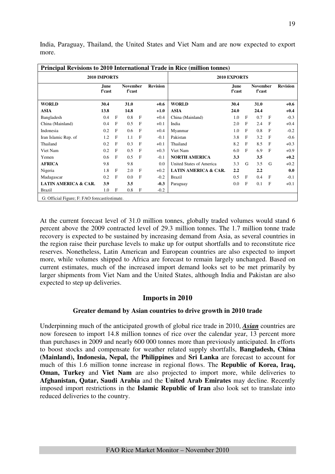|                                               |                |              |                           |              |                 | <b>Principal Revisions to 2010 International Trade in Rice (million tonnes)</b> |                       |              |                           |              |                 |
|-----------------------------------------------|----------------|--------------|---------------------------|--------------|-----------------|---------------------------------------------------------------------------------|-----------------------|--------------|---------------------------|--------------|-----------------|
|                                               | 2010 IMPORTS   |              |                           |              |                 |                                                                                 | 2010 EXPORTS          |              |                           |              |                 |
|                                               | June<br>f'cast |              | <b>November</b><br>f'cast |              | <b>Revision</b> |                                                                                 | <b>June</b><br>f'cast |              | <b>November</b><br>f'cast |              | <b>Revision</b> |
| <b>WORLD</b>                                  | 30.4           |              | 31.0                      |              | $+0.6$          | <b>WORLD</b>                                                                    | 30.4                  |              | 31.0                      |              | $+0.6$          |
| <b>ASIA</b>                                   | 13.8           |              | 14.8                      |              | $+1.0$          | <b>ASIA</b>                                                                     | 24.0                  |              | 24.4                      |              | $+0.4$          |
| Bangladesh                                    | 0.4            | $\mathbf{F}$ | 0.8                       | $\mathbf{F}$ | $+0.4$          | China (Mainland)                                                                | 1.0                   | $\mathbf{F}$ | 0.7                       | F            | $-0.3$          |
| China (Mainland)                              | 0.4            | $\mathbf{F}$ | 0.5                       | $\mathbf{F}$ | $+0.1$          | India                                                                           | 2.0                   | $\mathbf{F}$ | 2.4                       | F            | $+0.4$          |
| Indonesia                                     | 0.2            | F            | 0.6                       | F            | $+0.4$          | Myanmar                                                                         | 1.0                   | F            | 0.8                       | F            | $-0.2$          |
| Iran Islamic Rep. of                          | 1.2            | F            | 1.1                       | F            | $-0.1$          | Pakistan                                                                        | 3.8                   | F            | 3.2                       | F            | $-0.6$          |
| Thailand                                      | 0.2            | F            | 0.3                       | F            | $+0.1$          | Thailand                                                                        | 8.2                   | $\mathbf{F}$ | 8.5                       | F            | $+0.3$          |
| Viet Nam                                      | 0.2            | F            | 0.5                       | F            | $+0.3$          | Viet Nam                                                                        | 6.0                   | $\mathbf{F}$ | 6.9                       | $\mathbf{F}$ | $+0.9$          |
| Yemen                                         | 0.6            | F            | 0.5                       | F            | $-0.1$          | <b>NORTH AMERICA</b>                                                            | 3.3                   |              | 3.5                       |              | $+0.2$          |
| <b>AFRICA</b>                                 | 9.8            |              | 9.8                       |              | 0.0             | United States of America                                                        | 3.3                   | G            | 3.5                       | G            | $+0.2$          |
| Nigeria                                       | 1.8            | $\mathbf{F}$ | 2.0                       | $\mathbf{F}$ | $+0.2$          | <b>LATIN AMERICA &amp; CAR.</b>                                                 | 2.2                   |              | 2.2                       |              | 0.0             |
| Madagascar                                    | 0.2            | $\mathbf{F}$ | 0.0                       | $\mathbf{F}$ | $-0.2$          | <b>Brazil</b>                                                                   | 0.5                   | F            | 0.4                       | F            | $-0.1$          |
| <b>LATIN AMERICA &amp; CAR.</b>               | 3.9            |              | 3.5                       |              | $-0.3$          | Paraguay                                                                        | 0.0                   | $\mathbf{F}$ | 0.1                       | $\mathbf{F}$ | $+0.1$          |
| Brazil                                        | 1.0            | $\mathbf{F}$ | 0.8                       | F            | $-0.2$          |                                                                                 |                       |              |                           |              |                 |
| G: Official Figure; F: FAO forecast/estimate. |                |              |                           |              |                 |                                                                                 |                       |              |                           |              |                 |

India, Paraguay, Thailand, the United States and Viet Nam and are now expected to export more.

At the current forecast level of 31.0 million tonnes, globally traded volumes would stand 6 percent above the 2009 contracted level of 29.3 million tonnes. The 1.7 million tonne trade recovery is expected to be sustained by increasing demand from Asia, as several countries in the region raise their purchase levels to make up for output shortfalls and to reconstitute rice reserves. Nonetheless, Latin American and European countries are also expected to import more, while volumes shipped to Africa are forecast to remain largely unchanged. Based on current estimates, much of the increased import demand looks set to be met primarily by larger shipments from Viet Nam and the United States, although India and Pakistan are also expected to step up deliveries.

### **Imports in 2010**

### **Greater demand by Asian countries to drive growth in 2010 trade**

Underpinning much of the anticipated growth of global rice trade in 2010, *Asian* countries are now foreseen to import 14.8 million tonnes of rice over the calendar year, 13 percent more than purchases in 2009 and nearly 600 000 tonnes more than previously anticipated. In efforts to boost stocks and compensate for weather related supply shortfalls, **Bangladesh, China (Mainland), Indonesia, Nepal,** the **Philippines** and **Sri Lanka** are forecast to account for much of this 1.6 million tonne increase in regional flows. The **Republic of Korea, Iraq, Oman, Turkey** and **Viet Nam** are also projected to import more, while deliveries to **Afghanistan, Qatar, Saudi Arabia** and the **United Arab Emirates** may decline. Recently imposed import restrictions in the **Islamic Republic of Iran** also look set to translate into reduced deliveries to the country.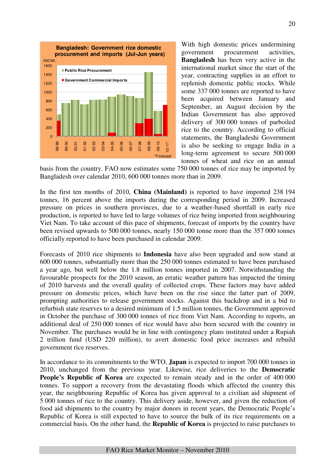

With high domestic prices undermining government procurement activities, **Bangladesh** has been very active in the international market since the start of the year, contracting supplies in an effort to replenish domestic public stocks. While some 337 000 tonnes are reported to have been acquired between January and September, an August decision by the Indian Government has also approved delivery of 300 000 tonnes of parboiled rice to the country. According to official statements, the Bangladeshi Government is also be seeking to engage India in a long-term agreement to secure 500 000 tonnes of wheat and rice on an annual

basis from the country. FAO now estimates some 750 000 tonnes of rice may be imported by Bangladesh over calendar 2010, 600 000 tonnes more than in 2009.

In the first ten months of 2010, **China (Mainland)** is reported to have imported 238 194 tonnes, 16 percent above the imports during the corresponding period in 2009. Increased pressure on prices in southern provinces, due to a weather-based shortfall in early rice production, is reported to have led to large volumes of rice being imported from neighbouring Viet Nam. To take account of this pace of shipments, forecast of imports by the country have been revised upwards to 500 000 tonnes, nearly 150 000 tonne more than the 357 000 tonnes officially reported to have been purchased in calendar 2009.

Forecasts of 2010 rice shipments to **Indonesia** have also been upgraded and now stand at 600 000 tonnes, substantially more than the 250 000 tonnes estimated to have been purchased a year ago, but well below the 1.8 million tonnes imported in 2007. Notwithstanding the favourable prospects for the 2010 season, an erratic weather pattern has impacted the timing of 2010 harvests and the overall quality of collected crops. These factors may have added pressure on domestic prices, which have been on the rise since the latter part of 2009, prompting authorities to release government stocks. Against this backdrop and in a bid to refurbish state reserves to a desired minimum of 1.5 million tonnes, the Government approved in October the purchase of 300 000 tonnes of rice from Viet Nam. According to reports, an additional deal of 250 000 tonnes of rice would have also been secured with the country in November. The purchases would be in line with contingency plans instituted under a Rupiah 2 trillion fund (USD 220 million), to avert domestic food price increases and rebuild government rice reserves.

In accordance to its commitments to the WTO, **Japan** is expected to import 700 000 tonnes in 2010, unchanged from the previous year. Likewise, rice deliveries to the **Democratic People's Republic of Korea** are expected to remain steady and in the order of 400 000 tonnes. To support a recovery from the devastating floods which affected the country this year, the neighbouring Republic of Korea has given approval to a civilian aid shipment of 5 000 tonnes of rice to the country. This delivery aside, however, and given the reduction of food aid shipments to the country by major donors in recent years, the Democratic People's Republic of Korea is still expected to have to source the bulk of its rice requirements on a commercial basis. On the other hand, the **Republic of Korea** is projected to raise purchases to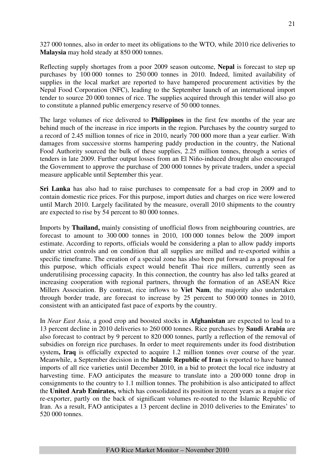327 000 tonnes, also in order to meet its obligations to the WTO, while 2010 rice deliveries to **Malaysia** may hold steady at 850 000 tonnes.

Reflecting supply shortages from a poor 2009 season outcome, **Nepal** is forecast to step up purchases by 100 000 tonnes to 250 000 tonnes in 2010. Indeed, limited availability of supplies in the local market are reported to have hampered procurement activities by the Nepal Food Corporation (NFC), leading to the September launch of an international import tender to source 20 000 tonnes of rice. The supplies acquired through this tender will also go to constitute a planned public emergency reserve of 50 000 tonnes.

The large volumes of rice delivered to **Philippines** in the first few months of the year are behind much of the increase in rice imports in the region. Purchases by the country surged to a record of 2.45 million tonnes of rice in 2010, nearly 700 000 more than a year earlier. With damages from successive storms hampering paddy production in the country, the National Food Authority sourced the bulk of these supplies, 2.25 million tonnes, through a series of tenders in late 2009. Further output losses from an El Niño-induced drought also encouraged the Government to approve the purchase of 200 000 tonnes by private traders, under a special measure applicable until September this year.

**Sri Lanka** has also had to raise purchases to compensate for a bad crop in 2009 and to contain domestic rice prices. For this purpose, import duties and charges on rice were lowered until March 2010. Largely facilitated by the measure, overall 2010 shipments to the country are expected to rise by 54 percent to 80 000 tonnes.

Imports by **Thailand,** mainly consisting of unofficial flows from neighbouring countries, are forecast to amount to 300 000 tonnes in 2010, 100 000 tonnes below the 2009 import estimate. According to reports, officials would be considering a plan to allow paddy imports under strict controls and on condition that all supplies are milled and re-exported within a specific timeframe. The creation of a special zone has also been put forward as a proposal for this purpose, which officials expect would benefit Thai rice millers, currently seen as underutilising processing capacity. In this connection, the country has also led talks geared at increasing cooperation with regional partners, through the formation of an ASEAN Rice Millers Association. By contrast, rice inflows to **Viet Nam**, the majority also undertaken through border trade, are forecast to increase by 25 percent to 500 000 tonnes in 2010, consistent with an anticipated fast pace of exports by the country.

In *Near East Asia*, a good crop and boosted stocks in **Afghanistan** are expected to lead to a 13 percent decline in 2010 deliveries to 260 000 tonnes. Rice purchases by **Saudi Arabia** are also forecast to contract by 9 percent to 820 000 tonnes, partly a reflection of the removal of subsidies on foreign rice purchases. In order to meet requirements under its food distribution system**, Iraq** is officially expected to acquire 1.2 million tonnes over course of the year. Meanwhile, a September decision in the **Islamic Republic of Iran** is reported to have banned imports of all rice varieties until December 2010, in a bid to protect the local rice industry at harvesting time. FAO anticipates the measure to translate into a 200 000 tonne drop in consignments to the country to 1.1 million tonnes. The prohibition is also anticipated to affect the **United Arab Emirates,** which has consolidated its position in recent years as a major rice re-exporter, partly on the back of significant volumes re-routed to the Islamic Republic of Iran. As a result, FAO anticipates a 13 percent decline in 2010 deliveries to the Emirates' to 520 000 tonnes.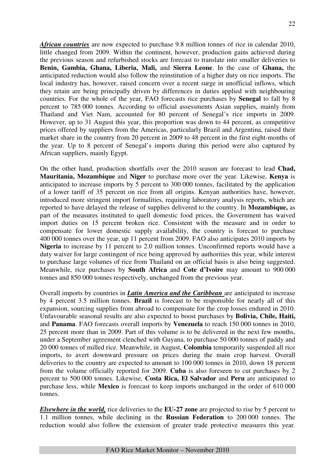*African countries* are now expected to purchase 9.8 million tonnes of rice in calendar 2010, little changed from 2009. Within the continent, however, production gains achieved during the previous season and refurbished stocks are forecast to translate into smaller deliveries to **Benin, Gambia, Ghana, Liberia, Mali,** and **Sierra Leone**. In the case of **Ghana,** the anticipated reduction would also follow the reinstitution of a higher duty on rice imports. The local industry has, however, raised concern over a recent surge in unofficial inflows, which they retain are being principally driven by differences in duties applied with neighbouring countries. For the whole of the year, FAO forecasts rice purchases by **Senegal** to fall by 8 percent to 785 000 tonnes. According to official assessments Asian supplies, mainly from Thailand and Viet Nam, accounted for 80 percent of Senegal's rice imports in 2009. However, up to 31 August this year, this proportion was down to 44 percent, as competitive prices offered by suppliers from the Americas, particularly Brazil and Argentina, raised their market share in the country from 20 percent in 2009 to 48 percent in the first eight-months of the year. Up to 8 percent of Senegal's imports during this period were also captured by African suppliers, mainly Egypt.

On the other hand, production shortfalls over the 2010 season are forecast to lead **Chad, Mauritania, Mozambique** and **Niger** to purchase more over the year. Likewise, **Kenya** is anticipated to increase imports by 5 percent to 300 000 tonnes, facilitated by the application of a lower tariff of 35 percent on rice from all origins. Kenyan authorities have, however, introduced more stringent import formalities, requiring laboratory analysis reports, which are reported to have delayed the release of supplies delivered to the country. In **Mozambique,** as part of the measures instituted to quell domestic food prices, the Government has waived import duties on 15 percent broken rice. Consistent with the measure and in order to compensate for lower domestic supply availability, the country is forecast to purchase 400 000 tonnes over the year, up 11 percent from 2009. FAO also anticipates 2010 imports by **Nigeria** to increase by 11 percent to 2.0 million tonnes. Unconfirmed reports would have a duty waiver for large contingent of rice being approved by authorities this year, while interest to purchase large volumes of rice from Thailand on an official basis is also being suggested. Meanwhile, rice purchases by **South Africa** and **Cote d'Ivoire** may amount to 900 000 tonnes and 850 000 tonnes respectively, unchanged from the previous year.

Overall imports by countries in *Latin America and the Caribbean* are anticipated to increase by 4 percent 3.5 million tonnes. **Brazil** is forecast to be responsible for nearly all of this expansion, sourcing supplies from abroad to compensate for the crop losses endured in 2010. Unfavourable seasonal results are also expected to boost purchases by **Bolivia, Chile, Haiti,**  and **Panama**. FAO forecasts overall imports by **Venezuela** to reach 150 000 tonnes in 2010, 25 percent more than in 2009. Part of this volume is to be delivered in the next few months, under a September agreement clenched with Guyana, to purchase 50 000 tonnes of paddy and 20 000 tonnes of milled rice. Meanwhile, in August, **Colombia** temporarily suspended all rice imports, to avert downward pressure on prices during the main crop harvest. Overall deliveries to the country are expected to amount to 100 000 tonnes in 2010, down 18 percent from the volume officially reported for 2009. **Cuba** is also foreseen to cut purchases by 2 percent to 500 000 tonnes. Likewise, **Costa Rica, El Salvador** and **Peru** are anticipated to purchase less, while **Mexico** is forecast to keep imports unchanged in the order of 610 000 tonnes.

*Elsewhere in the world,* rice deliveries to the **EU-27 zone** are projected to rise by 5 percent to 1.1 million tonnes, while declining in the **Russian Federation** to 200 000 tonnes. The reduction would also follow the extension of greater trade protective measures this year.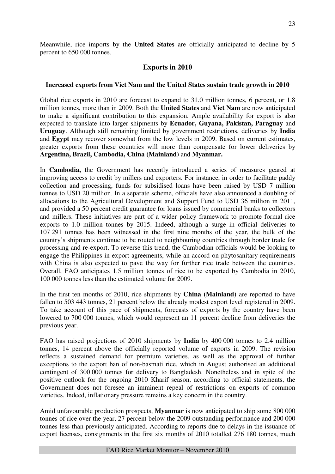Meanwhile, rice imports by the **United States** are officially anticipated to decline by 5 percent to 650 000 tonnes.

# **Exports in 2010**

#### **Increased exports from Viet Nam and the United States sustain trade growth in 2010**

Global rice exports in 2010 are forecast to expand to 31.0 million tonnes, 6 percent, or 1.8 million tonnes, more than in 2009. Both the **United States** and **Viet Nam** are now anticipated to make a significant contribution to this expansion. Ample availability for export is also expected to translate into larger shipments by **Ecuador, Guyana, Pakistan, Paraguay** and **Uruguay**. Although still remaining limited by government restrictions, deliveries by **India**  and **Egypt** may recover somewhat from the low levels in 2009. Based on current estimates, greater exports from these countries will more than compensate for lower deliveries by **Argentina, Brazil, Cambodia, China (Mainland)** and **Myanmar.** 

In **Cambodia,** the Government has recently introduced a series of measures geared at improving access to credit by millers and exporters. For instance, in order to facilitate paddy collection and processing, funds for subsidised loans have been raised by USD 7 million tonnes to USD 20 million. In a separate scheme, officials have also announced a doubling of allocations to the Agricultural Development and Support Fund to USD 36 million in 2011, and provided a 50 percent credit guarantee for loans issued by commercial banks to collectors and millers. These initiatives are part of a wider policy framework to promote formal rice exports to 1.0 million tonnes by 2015. Indeed, although a surge in official deliveries to 107 291 tonnes has been witnessed in the first nine months of the year, the bulk of the country's shipments continue to be routed to neighbouring countries through border trade for processing and re-export. To reverse this trend, the Cambodian officials would be looking to engage the Philippines in export agreements, while an accord on phytosanitary requirements with China is also expected to pave the way for further rice trade between the countries. Overall, FAO anticipates 1.5 million tonnes of rice to be exported by Cambodia in 2010, 100 000 tonnes less than the estimated volume for 2009.

In the first ten months of 2010, rice shipments by **China (Mainland)** are reported to have fallen to 503 443 tonnes, 21 percent below the already modest export level registered in 2009. To take account of this pace of shipments, forecasts of exports by the country have been lowered to 700 000 tonnes, which would represent an 11 percent decline from deliveries the previous year.

FAO has raised projections of 2010 shipments by **India** by 400 000 tonnes to 2.4 million tonnes, 14 percent above the officially reported volume of exports in 2009. The revision reflects a sustained demand for premium varieties, as well as the approval of further exceptions to the export ban of non-basmati rice, which in August authorised an additional contingent of 300 000 tonnes for delivery to Bangladesh. Nonetheless and in spite of the positive outlook for the ongoing 2010 Kharif season, according to official statements, the Government does not foresee an imminent repeal of restrictions on exports of common varieties. Indeed, inflationary pressure remains a key concern in the country.

Amid unfavourable production prospects, **Myanmar** is now anticipated to ship some 800 000 tonnes of rice over the year, 27 percent below the 2009 outstanding performance and 200 000 tonnes less than previously anticipated. According to reports due to delays in the issuance of export licenses, consignments in the first six months of 2010 totalled 276 180 tonnes, much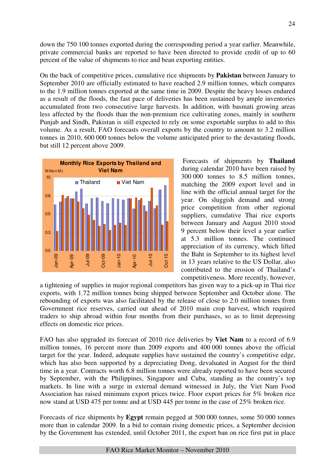down the 750 100 tonnes exported during the corresponding period a year earlier. Meanwhile, private commercial banks are reported to have been directed to provide credit of up to 60 percent of the value of shipments to rice and bean exporting entities.

On the back of competitive prices, cumulative rice shipments by **Pakistan** between January to September 2010 are officially estimated to have reached 2.9 million tonnes, which compares to the 1.9 million tonnes exported at the same time in 2009. Despite the heavy losses endured as a result of the floods, the fast pace of deliveries has been sustained by ample inventories accumulated from two consecutive large harvests. In addition, with basmati growing areas less affected by the floods than the non-premium rice cultivating zones, mainly in southern Punjab and Sindh, Pakistan is still expected to rely on some exportable surplus to add to this volume. As a result, FAO forecasts overall exports by the country to amount to 3.2 million tonnes in 2010, 600 000 tonnes below the volume anticipated prior to the devastating floods, but still 12 percent above 2009.



 Forecasts of shipments by **Thailand** during calendar 2010 have been raised by 300 000 tonnes to 8.5 million tonnes, matching the 2009 export level and in line with the official annual target for the year. On sluggish demand and strong price competition from other regional suppliers, cumulative Thai rice exports between January and August 2010 stood 9 percent below their level a year earlier at 5.3 million tonnes. The continued appreciation of its currency, which lifted the Baht in September to its highest level in 13 years relative to the US Dollar, also contributed to the erosion of Thailand's competitiveness. More recently, however,

a tightening of supplies in major regional competitors has given way to a pick-up in Thai rice exports, with 1.72 million tonnes being shipped between September and October alone. The rebounding of exports was also facilitated by the release of close to 2.0 million tonnes from Government rice reserves, carried out ahead of 2010 main crop harvest, which required traders to ship abroad within four months from their purchases, so as to limit depressing effects on domestic rice prices.

FAO has also upgraded its forecast of 2010 rice deliveries by **Viet Nam** to a record of 6.9 million tonnes, 16 percent more than 2009 exports and 400 000 tonnes above the official target for the year. Indeed, adequate supplies have sustained the country's competitive edge, which has also been supported by a depreciating Dong, devaluated in August for the third time in a year. Contracts worth 6.8 million tonnes were already reported to have been secured by September, with the Philippines, Singapore and Cuba, standing as the country's top markets. In line with a surge in external demand witnessed in July, the Viet Nam Food Association has raised minimum export prices twice. Floor export prices for 5% broken rice now stand at USD 475 per tonne and at USD 445 per tonne in the case of 25% broken rice.

Forecasts of rice shipments by **Egypt** remain pegged at 500 000 tonnes, some 50 000 tonnes more than in calendar 2009. In a bid to contain rising domestic prices, a September decision by the Government has extended, until October 2011, the export ban on rice first put in place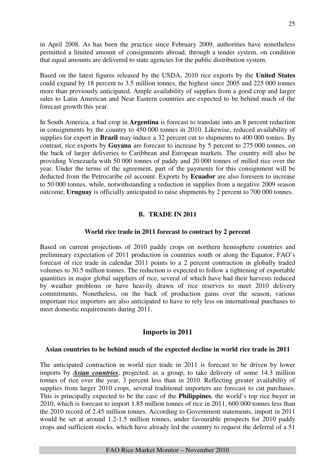in April 2008. As has been the practice since February 2009, authorities have nonetheless permitted a limited amount of consignments abroad, through a tender system, on condition that equal amounts are delivered to state agencies for the public distribution system.

Based on the latest figures released by the USDA, 2010 rice exports by the **United States** could expand by 18 percent to 3.5 million tonnes, the highest since 2005 and 225 000 tonnes more than previously anticipated. Ample availability of supplies from a good crop and larger sales to Latin American and Near Eastern countries are expected to be behind much of the forecast growth this year.

In South America, a bad crop in **Argentina** is forecast to translate into an 8 percent reduction in consignments by the country to 450 000 tonnes in 2010. Likewise, reduced availability of supplies for export in **Brazil** may induce a 32 percent cut to shipments to 400 000 tonnes. By contrast, rice exports by **Guyana** are forecast to increase by 5 percent to 275 000 tonnes, on the back of larger deliveries to Caribbean and European markets. The country will also be providing Venezuela with 50 000 tonnes of paddy and 20 000 tonnes of milled rice over the year. Under the terms of the agreement, part of the payments for this consignment will be deducted from the Petrocaribe oil account. Exports by **Ecuador** are also foreseen to increase to 50 000 tonnes, while, notwithstanding a reduction in supplies from a negative 2009 season outcome, **Uruguay** is officially anticipated to raise shipments by 2 percent to 700 000 tonnes.

# **B. TRADE IN 2011**

### **World rice trade in 2011 forecast to contract by 2 percent**

Based on current projections of 2010 paddy crops on northern hemisphere countries and preliminary expectation of 2011 production in countries south or along the Equator, FAO's forecast of rice trade in calendar 2011 points to a 2 percent contraction in globally traded volumes to 30.5 million tonnes. The reduction is expected to follow a tightening of exportable quantities in major global suppliers of rice, several of which have had their harvests reduced by weather problems or have heavily drawn of rice reserves to meet 2010 delivery commitments. Nonetheless, on the back of production gains over the season, various important rice importers are also anticipated to have to rely less on international purchases to meet domestic requirements during 2011.

# **Imports in 2011**

### **Asian countries to be behind much of the expected decline in world rice trade in 2011**

The anticipated contraction in world rice trade in 2011 is forecast to be driven by lower imports by *Asian countries*, projected, as a group, to take delivery of some 14.3 million tonnes of rice over the year, 3 percent less than in 2010. Reflecting greater availability of supplies from larger 2010 crops, several traditional importers are forecast to cut purchases. This is principally expected to be the case of the **Philippines**, the world's top rice buyer in 2010, which is forecast to import 1.85 million tonnes of rice in 2011, 600 000 tonnes less than the 2010 record of 2.45 million tonnes. According to Government statements, import in 2011 would be set at around 1.2-1.5 million tonnes, under favourable prospects for 2010 paddy crops and sufficient stocks, which have already led the country to request the deferral of a 51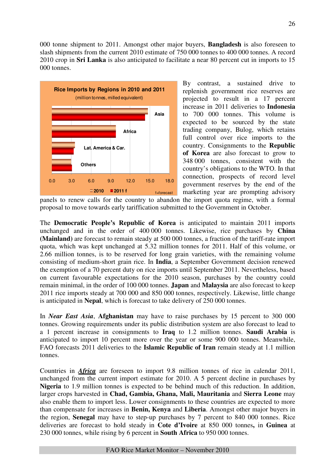000 tonne shipment to 2011. Amongst other major buyers, **Bangladesh** is also foreseen to slash shipments from the current 2010 estimate of 750 000 tonnes to 400 000 tonnes. A record 2010 crop in **Sri Lanka** is also anticipated to facilitate a near 80 percent cut in imports to 15 000 tonnes.



By contrast, a sustained drive to replenish government rice reserves are projected to result in a 17 percent increase in 2011 deliveries to **Indonesia** to 700 000 tonnes. This volume is expected to be sourced by the state trading company, Bulog, which retains full control over rice imports to the country. Consignments to the **Republic of Korea** are also forecast to grow to 348 000 tonnes, consistent with the country's obligations to the WTO. In that connection, prospects of record level government reserves by the end of the marketing year are prompting advisory

panels to renew calls for the country to abandon the import quota regime, with a formal proposal to move towards early tariffication submitted to the Government in October.

The **Democratic People's Republic of Korea** is anticipated to maintain 2011 imports unchanged and in the order of 400 000 tonnes. Likewise, rice purchases by **China (Mainland)** are forecast to remain steady at 500 000 tonnes, a fraction of the tariff-rate import quota, which was kept unchanged at 5.32 million tonnes for 2011. Half of this volume, or 2.66 million tonnes, is to be reserved for long grain varieties, with the remaining volume consisting of medium-short grain rice. In **India**, a September Government decision renewed the exemption of a 70 percent duty on rice imports until September 2011. Nevertheless, based on current favourable expectations for the 2010 season, purchases by the country could remain minimal, in the order of 100 000 tonnes. **Japan** and **Malaysia** are also forecast to keep 2011 rice imports steady at 700 000 and 850 000 tonnes, respectively. Likewise, little change is anticipated in **Nepal**, which is forecast to take delivery of 250 000 tonnes.

In *Near East Asia*, **Afghanistan** may have to raise purchases by 15 percent to 300 000 tonnes. Growing requirements under its public distribution system are also forecast to lead to a 1 percent increase in consignments to **Iraq** to 1.2 million tonnes. **Saudi Arabia** is anticipated to import 10 percent more over the year or some 900 000 tonnes. Meanwhile, FAO forecasts 2011 deliveries to the **Islamic Republic of Iran** remain steady at 1.1 million tonnes.

Countries in *Africa* are foreseen to import 9.8 million tonnes of rice in calendar 2011, unchanged from the current import estimate for 2010. A 5 percent decline in purchases by **Nigeria** to 1.9 million tonnes is expected to be behind much of this reduction. In addition, larger crops harvested in **Chad, Gambia, Ghana, Mali, Mauritania** and **Sierra Leone** may also enable them to import less. Lower consignments to these countries are expected to more than compensate for increases in **Benin, Kenya** and **Liberia**. Amongst other major buyers in the region, **Senegal** may have to step-up purchases by 7 percent to 840 000 tonnes. Rice deliveries are forecast to hold steady in **Cote d'Ivoire** at 850 000 tonnes**,** in **Guinea** at 230 000 tonnes, while rising by 6 percent in **South Africa** to 950 000 tonnes.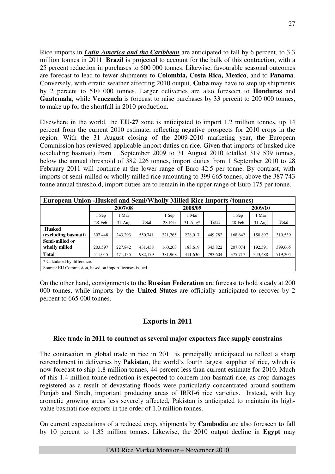Rice imports in *Latin America and the Caribbean* are anticipated to fall by 6 percent, to 3.3 million tonnes in 2011. **Brazil** is projected to account for the bulk of this contraction, with a 25 percent reduction in purchases to 600 000 tonnes. Likewise, favourable seasonal outcomes are forecast to lead to fewer shipments to **Colombia, Costa Rica, Mexico**, and to **Panama**. Conversely, with erratic weather affecting 2010 output, **Cuba** may have to step up shipments by 2 percent to 510 000 tonnes. Larger deliveries are also foreseen to **Honduras** and **Guatemala**, while **Venezuela** is forecast to raise purchases by 33 percent to 200 000 tonnes, to make up for the shortfall in 2010 production.

Elsewhere in the world, the **EU-27** zone is anticipated to import 1.2 million tonnes, up 14 percent from the current 2010 estimate, reflecting negative prospects for 2010 crops in the region. With the 31 August closing of the 2009-2010 marketing year, the European Commission has reviewed applicable import duties on rice. Given that imports of husked rice (excluding basmati) from 1 September 2009 to 31 August 2010 totalled 319 539 tonnes, below the annual threshold of 382 226 tonnes, import duties from 1 September 2010 to 28 February 2011 will continue at the lower range of Euro 42.5 per tonne. By contrast, with imports of semi-milled or wholly milled rice amounting to 399 665 tonnes, above the 387 743 tonne annual threshold, import duties are to remain in the upper range of Euro 175 per tonne.

| <b>European Union -Husked and Semi/Wholly Milled Rice Imports (tonnes)</b> |                                                         |          |         |         |           |         |         |           |         |  |
|----------------------------------------------------------------------------|---------------------------------------------------------|----------|---------|---------|-----------|---------|---------|-----------|---------|--|
|                                                                            |                                                         | 2007/08  |         |         | 2008/09   |         | 2009/10 |           |         |  |
|                                                                            | 1 Sep                                                   | 1 Mar    |         | 1 Sep   | 1 Mar     |         | 1 Sep   | 1 Mar     |         |  |
|                                                                            | 28-Feb                                                  | $31-Aug$ | Total   | 28-Feb  | $31-Au^*$ | Total   | 28-Feb  | $31-Au$ g | Total   |  |
| <b>Husked</b>                                                              |                                                         |          |         |         |           |         |         |           |         |  |
| (excluding basmati)                                                        | 307,448                                                 | 243.293  | 550,741 | 221,765 | 228,017   | 449,782 | 168,642 | 150.897   | 319,539 |  |
| Semi-milled or                                                             |                                                         |          |         |         |           |         |         |           |         |  |
| wholly milled                                                              | 203,597                                                 | 227,842  | 431,438 | 160.203 | 183,619   | 343,822 | 207.074 | 192,591   | 399,665 |  |
| <b>Total</b>                                                               | 511,045                                                 | 471,135  | 982,179 | 381,968 | 411,636   | 793,604 | 375,717 | 343,488   | 719,204 |  |
| * Calculated by difference.                                                |                                                         |          |         |         |           |         |         |           |         |  |
|                                                                            | Source: EU Commission, based on import licenses issued. |          |         |         |           |         |         |           |         |  |

On the other hand, consignments to the **Russian Federation** are forecast to hold steady at 200 000 tonnes, while imports by the **United States** are officially anticipated to recover by 2 percent to 665 000 tonnes.

# **Exports in 2011**

# **Rice trade in 2011 to contract as several major exporters face supply constrains**

The contraction in global trade in rice in 2011 is principally anticipated to reflect a sharp retrenchment in deliveries by **Pakistan**, the world's fourth largest supplier of rice, which is now forecast to ship 1.8 million tonnes, 44 percent less than current estimate for 2010. Much of this 1.4 million tonne reduction is expected to concern non-basmati rice, as crop damages registered as a result of devastating floods were particularly concentrated around southern Punjab and Sindh, important producing areas of IRRI-6 rice varieties. Instead, with key aromatic growing areas less severely affected, Pakistan is anticipated to maintain its highvalue basmati rice exports in the order of 1.0 million tonnes.

On current expectations of a reduced crop**,** shipments by **Cambodia** are also foreseen to fall by 10 percent to 1.35 million tonnes. Likewise, the 2010 output decline in **Egypt** may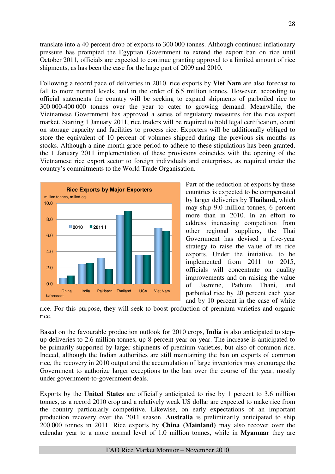translate into a 40 percent drop of exports to 300 000 tonnes. Although continued inflationary pressure has prompted the Egyptian Government to extend the export ban on rice until October 2011, officials are expected to continue granting approval to a limited amount of rice shipments, as has been the case for the large part of 2009 and 2010.

Following a record pace of deliveries in 2010, rice exports by **Viet Nam** are also forecast to fall to more normal levels, and in the order of 6.5 million tonnes. However, according to official statements the country will be seeking to expand shipments of parboiled rice to 300 000-400 000 tonnes over the year to cater to growing demand. Meanwhile, the Vietnamese Government has approved a series of regulatory measures for the rice export market. Starting 1 January 2011, rice traders will be required to hold legal certification, count on storage capacity and facilities to process rice. Exporters will be additionally obliged to store the equivalent of 10 percent of volumes shipped during the previous six months as stocks. Although a nine-month grace period to adhere to these stipulations has been granted, the 1 January 2011 implementation of these provisions coincides with the opening of the Vietnamese rice export sector to foreign individuals and enterprises, as required under the country's commitments to the World Trade Organisation.



Part of the reduction of exports by these countries is expected to be compensated by larger deliveries by **Thailand,** which may ship 9.0 million tonnes, 6 percent more than in 2010. In an effort to address increasing competition from other regional suppliers, the Thai Government has devised a five-year strategy to raise the value of its rice exports. Under the initiative, to be implemented from 2011 to 2015, officials will concentrate on quality improvements and on raising the value of Jasmine, Pathum Thani, and parboiled rice by 20 percent each year and by 10 percent in the case of white

rice. For this purpose, they will seek to boost production of premium varieties and organic rice.

Based on the favourable production outlook for 2010 crops, **India** is also anticipated to stepup deliveries to 2.6 million tonnes, up 8 percent year-on-year. The increase is anticipated to be primarily supported by larger shipments of premium varieties, but also of common rice. Indeed, although the Indian authorities are still maintaining the ban on exports of common rice, the recovery in 2010 output and the accumulation of large inventories may encourage the Government to authorize larger exceptions to the ban over the course of the year, mostly under government-to-government deals.

Exports by the **United States** are officially anticipated to rise by 1 percent to 3.6 million tonnes, as a record 2010 crop and a relatively weak US dollar are expected to make rice from the country particularly competitive. Likewise, on early expectations of an important production recovery over the 2011 season, **Australia** is preliminarily anticipated to ship 200 000 tonnes in 2011. Rice exports by **China (Mainland)** may also recover over the calendar year to a more normal level of 1.0 million tonnes, while in **Myanmar** they are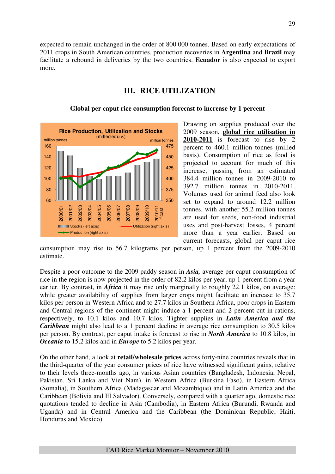expected to remain unchanged in the order of 800 000 tonnes. Based on early expectations of 2011 crops in South American countries, production recoveries in **Argentina** and **Brazil** may facilitate a rebound in deliveries by the two countries. **Ecuador** is also expected to export more.

# **III. RICE UTILIZATION**



#### **Global per caput rice consumption forecast to increase by 1 percent**

Drawing on supplies produced over the 2009 season, **global rice utilisation in 2010-2011** is forecast to rise by 2 percent to 460.1 million tonnes (milled basis). Consumption of rice as food is projected to account for much of this increase, passing from an estimated 384.4 million tonnes in 2009-2010 to 392.7 million tonnes in 2010-2011. Volumes used for animal feed also look set to expand to around 12.2 million tonnes, with another 55.2 million tonnes are used for seeds, non-food industrial uses and post-harvest losses, 4 percent more than a year earlier. Based on current forecasts, global per caput rice

consumption may rise to 56.7 kilograms per person, up 1 percent from the 2009-2010 estimate.

Despite a poor outcome to the 2009 paddy season in *Asia,* average per caput consumption of rice in the region is now projected in the order of 82.2 kilos per year, up 1 percent from a year earlier. By contrast, in *Africa* it may rise only marginally to roughly 22.1 kilos, on average: while greater availability of supplies from larger crops might facilitate an increase to 35.7 kilos per person in Western Africa and to 27.7 kilos in Southern Africa, poor crops in Eastern and Central regions of the continent might induce a 1 percent and 2 percent cut in rations, respectively, to 10.1 kilos and 10.7 kilos. Tighter supplies in *Latin America and the Caribbean* might also lead to a 1 percent decline in average rice consumption to 30.5 kilos per person. By contrast, per caput intake is forecast to rise in *North America* to 10.8 kilos, in *Oceania* to 15.2 kilos and in *Europe* to 5.2 kilos per year.

On the other hand, a look at **retail/wholesale prices** across forty-nine countries reveals that in the third-quarter of the year consumer prices of rice have witnessed significant gains, relative to their levels three-months ago, in various Asian countries (Bangladesh, Indonesia, Nepal, Pakistan, Sri Lanka and Viet Nam), in Western Africa (Burkina Faso), in Eastern Africa (Somalia), in Southern Africa (Madagascar and Mozambique) and in Latin America and the Caribbean (Bolivia and El Salvador). Conversely, compared with a quarter ago, domestic rice quotations tended to decline in Asia (Cambodia), in Eastern Africa (Burundi, Rwanda and Uganda) and in Central America and the Caribbean (the Dominican Republic, Haiti, Honduras and Mexico).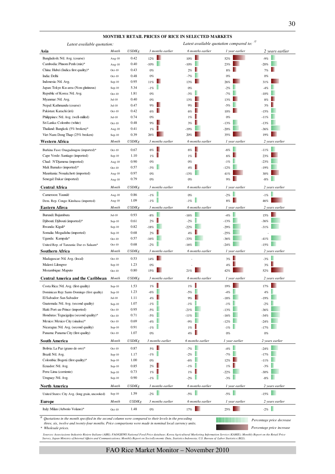| Latest available quotation:                                                                                                  |                      |              |                  | Latest available quotation compared to: |                  |                           |
|------------------------------------------------------------------------------------------------------------------------------|----------------------|--------------|------------------|-----------------------------------------|------------------|---------------------------|
| Asia                                                                                                                         | Month                | USD/Kg       | 3 months earlier | 6 months earlier                        | 1 year earlier   | 2 years earlier           |
| Bangladesh: Ntl. Avg. (coarse)                                                                                               | Aug-10               | 0.42         | 12%              | 10%                                     | 52%              | $-9%$                     |
| Cambodia: Phnom Penh (mix)*                                                                                                  | Aug-10               | 0.40         | $-10%$           | $-10%$                                  | 23%              | $-20%$                    |
| China: Hubei (Indica first quality)*                                                                                         | $Oct-10$             | 0.43         | $0\%$            | 2%                                      | $8\%$            | 7%                        |
| India: Delhi                                                                                                                 | $Oct-10$             | 0.48         | 0%               | $-7%$                                   | $0\%$            | $0\%$                     |
| Indonesia: Ntl. Avg.                                                                                                         | $Sep-10$             | 0.95         | 11%              | 13%                                     | 26%              | 31%                       |
| Japan: Tokyo Ku-area (Non-glutinous)                                                                                         | $Sep-10$             | 5.34         | $-1%$            | 0%                                      | $-2%$            | $-4%$                     |
| Republic of Korea: Ntl. Avg.                                                                                                 | $Oct-10$             | 1.81         | 0%               | $-3%$                                   | $-7%$            | $-10%$                    |
| Myanmar: Ntl. Avg.                                                                                                           | $Jul-10$             | 0.40         | 0%               | 13%                                     | 13%              | 8%                        |
| Nepal: Kathmandu (coarse)                                                                                                    | $Jul-10$             | 0.47         | 9%               | 9%                                      | $-5%$            | 3%                        |
| Pakistan: Karachi (irri)                                                                                                     | $Oct-10$             | 0.42         | 6%               | 6%                                      | 10%              | $-15%$                    |
| Philippines: Ntl. Avg. (well-milled)                                                                                         | $Jul-10$             | 0.74         | $0\%$            | 1%                                      | 0%               | $-11%$                    |
| Sri Lanka: Colombo (white)                                                                                                   | $Oct-10$             | 0.48         | 9%               | 3%                                      | $-13%$           | $-13%$                    |
| Thailand: Bangkok (5% broken)*                                                                                               | Aug-10               | 0.41         | 1%               | $-19%$                                  | $-20%$           | $-36%$                    |
| Viet Nam: Dong Thap (25% broken)                                                                                             | $Sep-10$             | 0.39         | 26%              | 20%                                     | 35%              | 19%                       |
| Western Africa                                                                                                               | Month                | USD/Kg       | 3 months earlier | 6 months earlier                        | 1 year earlier   | 2 years earlier           |
| Burkina Faso: Ouagadougou (imported)*                                                                                        | $Oct-10$             | 0.67         | 6%               | 6%                                      | $-6%$            | $-11%$                    |
| Cape Verde: Santiago (imported)                                                                                              | $Sep-10$             | 1.10         | 1%               | 1%                                      | 6%               | 23%                       |
| Chad: N'Djamena (imported)                                                                                                   | Aug-10               | 0.90         | $0\%$            | 0%                                      | $-1%$            | $-23%$                    |
| Mali: Bamako (imported)*                                                                                                     | $Oct-10$             | 0.57         | $-3%$            | 4%                                      | $-12%$           | $-19%$                    |
| Mauritania: Nouakchott (imported)                                                                                            | Aug-10               | 0.97         | $0\%$            | $-13%$                                  | 41%              | 30%                       |
| Senegal: Dakar (imported)                                                                                                    | Aug-10               | 0.79         | $0\%$            | $0\%$                                   | 9%               | $-8%$                     |
| <b>Central Africa</b>                                                                                                        | Month                | USD/Kg       | 3 months earlier | 6 months earlier                        | 1 year earlier   | 2 years earlier           |
| Cameroon: Yaundé                                                                                                             | Aug-10               | 0.86         | $-1%$            | $0\%$                                   | $-2%$            | $-1%$                     |
| Dem. Rep. Congo: Kinshasa (imported)                                                                                         | Aug-10               | 1.09         | $-1%$            | $-1%$                                   | п<br>8%          | 46%                       |
| Eastern Afirca                                                                                                               | Month                | USD/Kg       | 3 months earlier | 6 months earlier                        | 1 year earlier   | 2 years earlier           |
| Burundi: Bujumbura                                                                                                           | $Jul-10$             | 0.93         | $-8%$            | $-16%$                                  | $-4%$            | 15%                       |
| Djibouti: Djibouti (imported)*                                                                                               | $Sep-10$             | 0.61         | 2%               | $-2%$                                   | $-13%$           | $-36%$                    |
| Rwanda: Kigali*                                                                                                              | $Sep-10$             | 0.82         | $-18%$           | $-22%$                                  | $-29%$           | $-31%$                    |
| Somalia: Mogadishu (imported)                                                                                                | $Sep-10$             | 0.68         | 2%               | 4%                                      | $-25%$           |                           |
| Uganda: Kampala*                                                                                                             | $Oct-10$             | 0.57         | $-16%$           | $-33%$                                  | $-36%$           | $-41%$                    |
| United Rep. of Tanzania: Dar es Salaam*                                                                                      | $Oct-10$             | 0.68         | $-2%$            | $-16%$                                  | $-24%$           | $-15%$                    |
| Southern Africa                                                                                                              | Month                | USD/Kg       | 3 months earlier | 6 months earlier                        | 1 year earlier   | 2 years earlier           |
| Madagascar: Ntl. Avg. (local)                                                                                                | $Oct-10$             | 0.53         | 14%              |                                         | 3%               | $-3%$                     |
| Malawi: Lilongwe                                                                                                             | $Sep-10$             | 1.23         | 0%               |                                         | 4%               | 3%                        |
| Mozambique: Maputo                                                                                                           | $Oct-10$             | 0.80         | 15%              | 21%                                     | 42%              | 52%                       |
| <b>Central America and the Caribbean</b>                                                                                     | Month                | USD/Kg       | 3 months earlier | 6 months earlier                        | 1 year earlier   | 2 years earlier           |
| Costa Rica: Ntl. Avg. (first quality)                                                                                        | $Sep-10$             | 1.53         | $1\%$            | $1\%$                                   | 19%              | 17%                       |
| Dominican Rep: Santo Domingo (first quality)                                                                                 | $Sep-10$             | 1.23         | $-6%$            | $-5%$                                   | $-4%$            | $4\%$                     |
| El Salvador: San Salvador                                                                                                    | Jul-10               | 1.11         | 4%               | 9%                                      | $-18%$           | $-19%$                    |
| Guatemala: Ntl. Avg. (second quality)                                                                                        | $Sep-10$             | 1.07         | $-1%$            | $-1%$                                   | $-1\%$           | $-2%$                     |
| Haiti: Port-au-Prince (imported)                                                                                             | $Oct-10$             | 0.95         | $-5%$            | $-21%$                                  | $-13%$           | $-36%$                    |
| Honduras: Tegucigalpa (second quality)*<br>Mexico: Mexico City (sinaloa)*                                                    | $Oct-10$<br>$Oct-10$ | 0.71<br>0.69 | $-5%$<br>$-4%$   | $-11%$<br>$-9%$                         | $-16%$<br>$-12%$ | $-34%$                    |
| Nicaragua: Ntl. Avg. (second quality)                                                                                        | $Sep-10$             | 0.91         | $-1%$            | 1%                                      | $-1%$            | $-24%$<br>$-17%$          |
| Panama: Panama City (first quality)                                                                                          | $Oct-10$             | 1.07         | $0\%$            | 4%                                      | $0\%$            | $0\%$                     |
| South America                                                                                                                | Month                | USD/Kg       | 3 months earlier | 6 months earlier                        | 1 year earlier   | 2 years earlier           |
| Bolivia: La Paz (grano de oro)*                                                                                              | $Oct-10$             | 0.87         | $5\%$            | $-7%$                                   | $-4%$            | $-24%$                    |
| Brazil: Ntl. Avg.                                                                                                            | $Sep-10$             | 1.17         | $-1\%$           | $-2%$                                   | $-7%$            | $-17%$                    |
| Colombia: Bogotá (first quality)*                                                                                            | $Sep-10$             | 1.00         | $0\%$            | $-6%$                                   | 12%              | $-11%$                    |
| Ecuador: Ntl. Avg.                                                                                                           | $Sep-10$             | 0.85         | 2%               | $-1%$                                   | 1%               | $-3%$                     |
| Peru: Lima (corriente)                                                                                                       | $Sep-10$             | 0.73         | 1%               | 1%                                      | $-22%$           | $-30%$                    |
| Uruguay: Ntl. Avg.                                                                                                           | $Sep-10$             | 0.90         | $-1%$            | $-2%$                                   | $-3%$            | $-8\%$                    |
| North America                                                                                                                | Month                | USD/Kg       | 3 months earlier | 6 months earlier                        | 1 year earlier   | 2 years earlier           |
| United States: City Avg. (long grain, uncooked)                                                                              | $Sep-10$             | 1.59         | $-2%$            | $-5\%$                                  | $-5\%$           | $-15%$                    |
| Europe                                                                                                                       | Month                | USD/Kg       | 3 months earlier | 6 months earlier                        | 1 year earlier   | 2 years earlier           |
| Italy: Milan (Arborio Volano)*                                                                                               | $Oct-10$             | 1.48         | $0\%$            | 17%                                     | 25%              | $-2\%$                    |
| $\boldsymbol{\eta}$<br>Quotations in the month specified in the second column were compared to their levels in the preceding |                      |              |                  |                                         |                  |                           |
|                                                                                                                              |                      |              |                  |                                         |                  | Percentage price decrease |

#### **MONTHLY RETAIL PRICES OF RICE IN SELECTED MARKETS**

 *three, six, twelve and twenty-four months. Price comparisons were made in nominal local currency units.*

*\* Wholesale prices.*

Sources: Associazione Industrie Risiere Italiane (AIRI); FAO/GIEWS National Food Price database; Korea Agricultural Marketing Information Service (KAMIS); Monthly Report on the Retail Price<br>Survey, Japan Ministry of Intern

*Percentage price increase*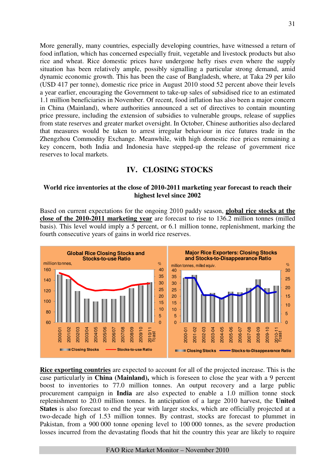More generally, many countries, especially developing countries, have witnessed a return of food inflation, which has concerned especially fruit, vegetable and livestock products but also rice and wheat. Rice domestic prices have undergone hefty rises even where the supply situation has been relatively ample, possibly signalling a particular strong demand, amid dynamic economic growth. This has been the case of Bangladesh, where, at Taka 29 per kilo (USD 417 per tonne), domestic rice price in August 2010 stood 52 percent above their levels a year earlier, encouraging the Government to take-up sales of subsidised rice to an estimated 1.1 million beneficiaries in November. Of recent, food inflation has also been a major concern in China (Mainland), where authorities announced a set of directives to contain mounting price pressure, including the extension of subsidies to vulnerable groups, release of supplies from state reserves and greater market oversight. In October, Chinese authorities also declared that measures would be taken to arrest irregular behaviour in rice futures trade in the Zhengzhou Commodity Exchange. Meanwhile, with high domestic rice prices remaining a key concern, both India and Indonesia have stepped-up the release of government rice reserves to local markets.

# **IV. CLOSING STOCKS**

# **World rice inventories at the close of 2010-2011 marketing year forecast to reach their highest level since 2002**

Based on current expectations for the ongoing 2010 paddy season, **global rice stocks at the close of the 2010-2011 marketing year** are forecast to rise to 136.2 million tonnes (milled basis). This level would imply a 5 percent, or 6.1 million tonne, replenishment, marking the fourth consecutive years of gains in world rice reserves.



**Rice exporting countries** are expected to account for all of the projected increase. This is the case particularly in **China (Mainland),** which is foreseen to close the year with a 9 percent boost to inventories to 77.0 million tonnes. An output recovery and a large public procurement campaign in **India** are also expected to enable a 1.0 million tonne stock replenishment to 20.0 million tonnes. In anticipation of a large 2010 harvest, the **United States** is also forecast to end the year with larger stocks, which are officially projected at a two-decade high of 1.53 million tonnes. By contrast, stocks are forecast to plummet in Pakistan, from a 900 000 tonne opening level to 100 000 tonnes, as the severe production losses incurred from the devastating floods that hit the country this year are likely to require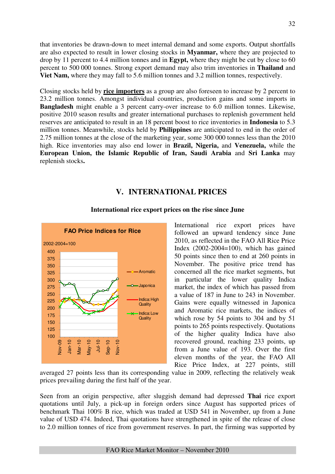that inventories be drawn-down to meet internal demand and some exports. Output shortfalls are also expected to result in lower closing stocks in **Myanmar,** where they are projected to drop by 11 percent to 4.4 million tonnes and in **Egypt,** where they might be cut by close to 60 percent to 500 000 tonnes. Strong export demand may also trim inventories in **Thailand** and **Viet Nam,** where they may fall to 5.6 million tonnes and 3.2 million tonnes, respectively.

Closing stocks held by **rice importers** as a group are also foreseen to increase by 2 percent to 23.2 million tonnes. Amongst individual countries, production gains and some imports in **Bangladesh** might enable a 3 percent carry-over increase to 6.0 million tonnes. Likewise, positive 2010 season results and greater international purchases to replenish government held reserves are anticipated to result in an 18 percent boost to rice inventories in **Indonesia** to 5.3 million tonnes. Meanwhile, stocks held by **Philippines** are anticipated to end in the order of 2.75 million tonnes at the close of the marketing year, some 300 000 tonnes less than the 2010 high. Rice inventories may also end lower in **Brazil, Nigeria,** and **Venezuela,** while the **European Union, the Islamic Republic of Iran, Saudi Arabia** and **Sri Lanka** may replenish stocks**.**

# **V. INTERNATIONAL PRICES**



### **International rice export prices on the rise since June**

International rice export prices have followed an upward tendency since June 2010, as reflected in the FAO All Rice Price Index (2002-2004=100), which has gained 50 points since then to end at 260 points in November. The positive price trend has concerned all the rice market segments, but in particular the lower quality Indica market, the index of which has passed from a value of 187 in June to 243 in November. Gains were equally witnessed in Japonica and Aromatic rice markets, the indices of which rose by 54 points to 304 and by 51 points to 265 points respectively. Quotations of the higher quality Indica have also recovered ground, reaching 233 points, up from a June value of 193. Over the first eleven months of the year, the FAO All Rice Price Index, at 227 points, still

averaged 27 points less than its corresponding value in 2009, reflecting the relatively weak prices prevailing during the first half of the year.

Seen from an origin perspective, after sluggish demand had depressed **Thai** rice export quotations until July, a pick-up in foreign orders since August has supported prices of benchmark Thai 100% B rice, which was traded at USD 541 in November, up from a June value of USD 474. Indeed, Thai quotations have strengthened in spite of the release of close to 2.0 million tonnes of rice from government reserves. In part, the firming was supported by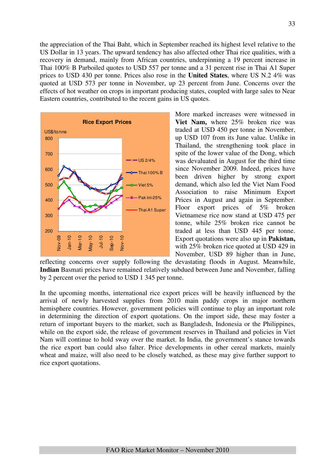the appreciation of the Thai Baht, which in September reached its highest level relative to the US Dollar in 13 years. The upward tendency has also affected other Thai rice qualities, with a recovery in demand, mainly from African countries, underpinning a 19 percent increase in Thai 100% B Parboiled quotes to USD 557 per tonne and a 31 percent rise in Thai A1 Super prices to USD 430 per tonne. Prices also rose in the **United States**, where US N.2 4% was quoted at USD 573 per tonne in November, up 23 percent from June. Concerns over the effects of hot weather on crops in important producing states, coupled with large sales to Near Eastern countries, contributed to the recent gains in US quotes.



More marked increases were witnessed in **Viet Nam,** where 25% broken rice was traded at USD 450 per tonne in November, up USD 107 from its June value. Unlike in Thailand, the strengthening took place in spite of the lower value of the Dong, which was devaluated in August for the third time since November 2009. Indeed, prices have been driven higher by strong export demand, which also led the Viet Nam Food Association to raise Minimum Export Prices in August and again in September. Floor export prices of 5% broken Vietnamese rice now stand at USD 475 per tonne, while 25% broken rice cannot be traded at less than USD 445 per tonne. Export quotations were also up in **Pakistan,** with 25% broken rice quoted at USD 429 in November, USD 89 higher than in June,

reflecting concerns over supply following the devastating floods in August. Meanwhile, **Indian** Basmati prices have remained relatively subdued between June and November, falling by 2 percent over the period to USD 1 345 per tonne.

In the upcoming months, international rice export prices will be heavily influenced by the arrival of newly harvested supplies from 2010 main paddy crops in major northern hemisphere countries. However, government policies will continue to play an important role in determining the direction of export quotations. On the import side, these may foster a return of important buyers to the market, such as Bangladesh, Indonesia or the Philippines, while on the export side, the release of government reserves in Thailand and policies in Viet Nam will continue to hold sway over the market. In India, the government's stance towards the rice export ban could also falter. Price developments in other cereal markets, mainly wheat and maize, will also need to be closely watched, as these may give further support to rice export quotations.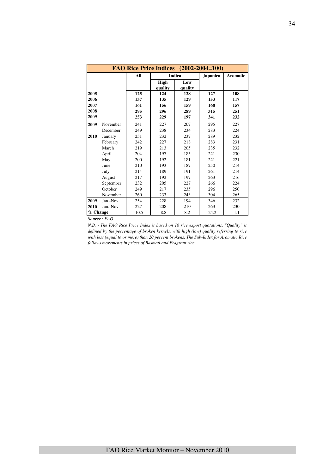|          |           | FAO Rice Price Indices (2002-2004=100) |                 |                |                 |                 |
|----------|-----------|----------------------------------------|-----------------|----------------|-----------------|-----------------|
|          |           | All                                    |                 | <b>Indica</b>  | <b>Japonica</b> | <b>Aromatic</b> |
|          |           |                                        | High<br>quality | Low<br>quality |                 |                 |
| 2005     |           | 125                                    | 124             | 128            | 127             | 108             |
| 2006     |           | 137                                    | 135             | 129            | 153             | 117             |
| 2007     |           | 161                                    | 156             | 159            | 168             | 157             |
| 2008     |           | 295                                    | 296             | 289            | 315             | 251             |
| 2009     |           | 253                                    | 229             | 197            | 341             | 232             |
| 2009     | November  | 241                                    | 227             | 207            | 295             | 227             |
|          | December  | 249                                    | 238             | 234            | 283             | 224             |
| 2010     | January   | 251                                    | 232             | 237            | 289             | 232             |
|          | February  | 242                                    | 227             | 218            | 283             | 231             |
|          | March     | 219                                    | 213             | 205            | 235             | 232             |
|          | April     | 204                                    | 197             | 185            | 221             | 230             |
|          | May       | 200                                    | 192             | 181            | 221             | 221             |
|          | June      | 210                                    | 193             | 187            | 250             | 214             |
|          | July      | 214                                    | 189             | 191            | 261             | 214             |
|          | August    | 217                                    | 192             | 197            | 263             | 216             |
|          | September | 232                                    | 205             | 227            | 266             | 224             |
|          | October   | 249                                    | 217             | 235            | 296             | 250             |
|          | November  | 260                                    | 233             | 243            | 304             | 265             |
| 2009     | Jan.-Nov. | 254                                    | 228             | 194            | 346             | 232             |
| 2010     | Jan.-Nov. | 227                                    | 208             | 210            | 263             | 230             |
| % Change |           | $-10.5$                                | $-8.8$          | 8.2            | $-24.2$         | $-1.1$          |

*Source : FAO* 

*N.B. - The FAO Rice Price Index is based on 16 rice export quotations. "Quality" is defined by the percentage of broken kernels, with high (low) quality referring to rice with less (equal to or more) than 20 percent brokens. The Sub-Index for Aromatic Rice follows movements in prices of Basmati and Fragrant rice.*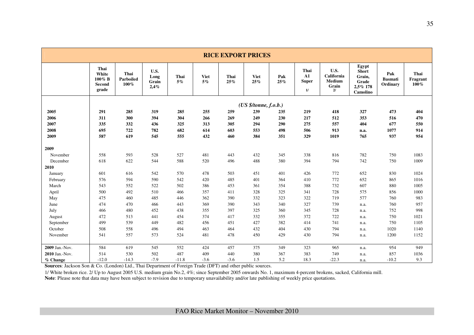|                |                                                   |                              |                               |               |                   | <b>RICE EXPORT PRICES</b> |                       |            |                                          |                                                    |                                                                  |                                   |                          |
|----------------|---------------------------------------------------|------------------------------|-------------------------------|---------------|-------------------|---------------------------|-----------------------|------------|------------------------------------------|----------------------------------------------------|------------------------------------------------------------------|-----------------------------------|--------------------------|
|                | Thai<br>White<br>100% B<br><b>Second</b><br>grade | Thai<br>Parboiled<br>$100\%$ | U.S.<br>Long<br>Grain<br>2,4% | Thai<br>$5\%$ | <b>Viet</b><br>5% | Thai<br>25%               | <b>Viet</b><br>25%    | Pak<br>25% | Thai<br>${\bf A1}$<br><b>Super</b><br>1/ | U.S.<br>California<br><b>Medium</b><br>Grain<br>2/ | Egypt<br><b>Short</b><br>Grain,<br>Grade<br>2,5% 178<br>Camolino | Pak<br><b>Basmati</b><br>Ordinary | Thai<br>Fragrant<br>100% |
|                |                                                   |                              |                               |               |                   |                           | (US \$/tonne, f.o.b.) |            |                                          |                                                    |                                                                  |                                   |                          |
| 2005           | 291                                               | 285                          | 319                           | 285           | 255               | 259                       | 239                   | 235        | 219                                      | 418                                                | 327                                                              | 473                               | 404                      |
| 2006           | 311                                               | 300                          | 394                           | 304           | 266               | 269                       | 249                   | 230        | 217                                      | 512                                                | 353                                                              | 516                               | 470                      |
| 2007           | 335                                               | 332                          | 436                           | 325           | 313               | 305                       | 294                   | 290        | 275                                      | 557                                                | 404                                                              | 677                               | 550                      |
| 2008           | 695                                               | 722                          | 782                           | 682           | 614               | 603                       | 553                   | 498        | 506                                      | 913                                                | n.a.                                                             | 1077                              | 914                      |
| 2009           | 587                                               | 619                          | 545                           | 555           | 432               | 460                       | 384                   | 351        | 329                                      | 1019                                               | 765                                                              | 937                               | 954                      |
| 2009           |                                                   |                              |                               |               |                   |                           |                       |            |                                          |                                                    |                                                                  |                                   |                          |
| November       | 558                                               | 593                          | 528                           | 527           | 481               | 443                       | 432                   | 345        | 338                                      | 816                                                | 782                                                              | 750                               | 1083                     |
| December       | 618                                               | 622                          | 544                           | 588           | 520               | 496                       | 488                   | 380        | 394                                      | 794                                                | 742                                                              | 750                               | 1009                     |
| 2010           |                                                   |                              |                               |               |                   |                           |                       |            |                                          |                                                    |                                                                  |                                   |                          |
| January        | 601                                               | 616                          | 542                           | 570           | 478               | 503                       | 451                   | 401        | 426                                      | 772                                                | 652                                                              | 830                               | 1024                     |
| February       | 576                                               | 594                          | 590                           | 542           | 420               | 485                       | 401                   | 364        | 410                                      | 772                                                | 652                                                              | 865                               | 1016                     |
| March          | 543                                               | 552                          | 522                           | 502           | 386               | 453                       | 361                   | 354        | 388                                      | 732                                                | 607                                                              | 880                               | 1005                     |
| April          | 500                                               | 492                          | 510                           | 466           | 357               | 411                       | 328                   | 325        | 341                                      | 728                                                | 575                                                              | 856                               | 1000                     |
| May            | 475                                               | 460                          | 485                           | 446           | 362               | 390                       | 332                   | 323        | 322                                      | 719                                                | 577                                                              | 760                               | 983                      |
| June           | 474                                               | 470                          | 466                           | 443           | 369               | 390                       | 343                   | 340        | 327                                      | 739                                                | n.a.                                                             | 760                               | 957                      |
| July           | 466                                               | 480                          | 452                           | 438           | 355               | 397                       | 325                   | 360        | 345                                      | 728                                                | n.a.                                                             | 752                               | 998                      |
| August         | 472                                               | 513                          | 441                           | 454           | 374               | 417                       | 332                   | 355        | 372                                      | 722                                                | n.a.                                                             | 750                               | 1021                     |
| September      | 499                                               | 539                          | 449                           | 482           | 456               | 451                       | 427                   | 382        | 414                                      | 741                                                | n.a.                                                             | 750                               | 1105                     |
| October        | 508                                               | 558                          | 496                           | 494           | 463               | 464                       | 432                   | 404        | 430                                      | 794                                                | n.a.                                                             | 1020                              | 1140                     |
| November       | 541                                               | 557                          | 573                           | 524           | 481               | 478                       | 450                   | 429        | 430                                      | 794                                                | n.a.                                                             | 1200                              | 1152                     |
|                |                                                   |                              |                               |               |                   |                           |                       |            |                                          |                                                    |                                                                  |                                   |                          |
| 2009 Jan.-Nov. | 584                                               | 619                          | 545                           | 552           | 424               | 457                       | 375                   | 349        | 323                                      | 965                                                | n.a.                                                             | 954                               | 949                      |
| 2010 Jan.-Nov. | 514                                               | 530                          | 502                           | 487           | 409               | 440                       | 380                   | 367        | 383                                      | 749                                                | n.a.                                                             | 857                               | 1036                     |
| % Change       | $-12.0$                                           | $-14.3$                      | $-7.9$                        | $-11.8$       | $-3.6$            | $-3.6$                    | 1.5                   | 5.2        | 18.3                                     | $-22.3$                                            | n.a.                                                             | $-10.2$                           | 9.3                      |

**Sources**: Jackson Son & Co. (London) Ltd., Thai Department of Foreign Trade (DFT) and other public sources.

1/ White broken rice. 2/ Up to August 2005 U.S. medium grain No.2, 4%; since September 2005 onwards No. 1, maximum 4-percent brokens, sacked, California mill.<br>Note: Please note that data may have been subject to revision d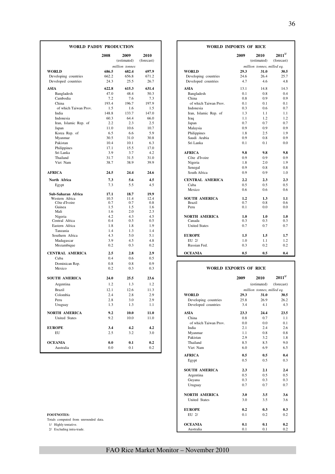| <b>WORLD PADDY PRODUCTION</b> |            |                     |                    | <b>WORLD IMPORTS OF RICE</b> |            |                            |                            |
|-------------------------------|------------|---------------------|--------------------|------------------------------|------------|----------------------------|----------------------------|
|                               | 2008       | 2009<br>(estimated) | 2010<br>(forecast) |                              | 2009       | 2010<br>(estimated)        | $2011^{1/2}$<br>(forecast) |
|                               |            | million tonnes      |                    |                              |            | million tonnes, milled eq. |                            |
| <b>WORLD</b>                  | 686.5      | 682.4               | 697.9              | <b>WORLD</b>                 | 29.3       | 31.0                       | 30.5                       |
| Developing countries          | 662.2      | 656.8               | 671.2              | Developing countries         | 24.6       | 26.4                       | 25.7                       |
| Developed countries           | 24.3       | 25.5                | 26.7               | Developed countries          | 4.7        | 4.6                        | 4.8                        |
| ASIA                          | 622.8      | 615.3               | 631.4              | ASIA                         | 13.1       | 14.8                       | 14.3                       |
| Bangladesh                    | 47.0       | 48.4                | 50.3               | Bangladesh                   | 0.1        | 0.8                        | 0.4                        |
| Cambodia                      | 7.2        | 7.6                 | 7.3                | China                        | 0.8        | 0.9                        | 0.9                        |
| China                         | 193.4      | 196.7               | 197.9              | of which Taiwan Prov.        | 0.1        | 0.1                        | 0.1                        |
| of which Taiwan Prov.         | 1.5        | 1.6                 | 1.5                | Indonesia                    | 0.3        | 0.6                        | 0.7                        |
| India                         | 148.8      | 133.7               | 147.0              | Iran, Islamic Rep. of        | 1.3        | 1.1                        | 1.1                        |
| Indonesia                     | 60.3       | 64.4                | 66.0               | Iraq                         | 1.1        | 1.2                        | 1.2                        |
| Iran, Islamic Rep. of         | 2.2        | 2.3                 | 2.5                | Japan                        | 0.7        | 0.7                        | 0.7                        |
| Japan                         | 11.0       | 10.6                | 10.7               | Malaysia                     | 0.9        | 0.9                        | 0.9                        |
| Korea Rep. of                 | 6.5        | 6.6                 | 5.9                | Philippines                  | 1.8        | 2.5                        | 1.9                        |
| Myanmar                       | 30.5       | 31.0                | 30.8               | Saudi Arabia                 | 0.9        | 0.8                        | 0.9                        |
| Pakistan                      | 10.4       | 10.1                | 6.3                | Sri Lanka                    | 0.1        | 0.1                        | 0.0                        |
| Philippines                   | 17.1       | 15.5                | 17.0               |                              |            |                            |                            |
| Sri Lanka                     | 3.9        | 3.7                 | 4.2                | <b>AFRICA</b>                | 9.8        | 9.8                        | 9.8                        |
| Thailand                      | 31.7       | 31.5                | 31.0               | Côte d'Ivoire                | 0.9        | 0.9                        | 0.9                        |
| Viet Nam                      | 38.7       | 38.9                | 39.9               | Nigeria                      | 1.8        | 2.0                        | 1.9                        |
|                               |            |                     |                    | Senegal                      | 0.9        | 0.8                        | 0.8                        |
| <b>AFRICA</b>                 | 24.5       | 24.4                | 24.6               | South Africa                 | 0.9        | 0.9                        | 1.0                        |
| North Africa                  | 7.3        | 5.6                 | 4.5                | <b>CENTRAL AMERICA</b>       | 2.2        | 2.3                        | 2.3                        |
| Egypt                         | 7.3        | 5.5                 | 4.5                | Cuba                         | 0.5        | 0.5                        | 0.5                        |
|                               |            |                     |                    | Mexico                       | 0.6        | 0.6                        | 0.6                        |
| Sub-Saharan Africa            | 17.1       | 18.7                | 19.9               |                              |            |                            |                            |
| Western Africa                | 10.5       | 11.4                | 12.4               | <b>SOUTH AMERICA</b>         | 1.2        | 1.3                        | 1.1                        |
| Côte d'Ivoire<br>Guinea       | 0.7<br>1.5 | 0.7<br>1.5          | 0.8<br>1.6         | <b>Brazil</b><br>Peru        | 0.7<br>0.1 | 0.8<br>0.0                 | 0.6<br>0.0                 |
| Mali                          | 1.6        | 2.0                 | 2.3                |                              |            |                            |                            |
| Nigeria                       | 4.2        | 4.3                 | 4.5                | <b>NORTH AMERICA</b>         | 1.0        | 1.0                        | 1.0                        |
| Central Africa                | 0.4        | 0.5                 | 0.5                | Canada                       | 0.3        | 0.3                        | 0.3                        |
| Eastern Africa                | 1.8        | 1.8                 | 1.9                | <b>United States</b>         | 0.7        | 0.7                        | 0.7                        |
| Tanzania                      | 1.4        | 1.3                 | 1.4                |                              |            |                            |                            |
| Southern Africa               | 4.3        | 5.0                 | 5.1                | <b>EUROPE</b>                | 1.5        | 1.5                        | 1.7                        |
| Madagascar                    | 3.9        | 4.5                 | 4.8                | EU 2/                        | 1.0        | 1.1                        | 1.2                        |
| Mozambique                    | 0.2        | 0.3                 | 0.2                | Russian Fed.                 | 0.3        | 0.2                        | 0.2                        |
| <b>CENTRAL AMERICA</b>        | 2.5        | 2.8                 | 2.9                | <b>OCEANIA</b>               | 0.5        | 0.5                        | 0.4                        |
| Cuba                          | 0.4        | 0.6                 | 0.5                |                              |            |                            |                            |
| Dominican Rep.                | 0.8        | 0.8                 | 0.9                |                              |            |                            |                            |
| Mexico                        | 0.2        | 0.3                 | 0.3                | <b>WORLD EXPORTS OF RICE</b> |            |                            |                            |
| <b>SOUTH AMERICA</b>          | 24.0       | 25.5                | 23.6               |                              | 2009       | 2010                       | $2011^{1/2}$               |
|                               |            |                     |                    |                              |            |                            |                            |
| Argentina                     | 1.2        | 1.3                 | 1.2                |                              |            | (estimated)                | (forecast)                 |
| <b>Brazil</b>                 | 12.1       | 12.6                | 11.3               |                              |            | million tonnes, milled eq. |                            |
| Colombia                      | 2.4        | 2.8                 | 2.9                | <b>WORLD</b>                 | 29.3       | 31.0                       | 30.5                       |
| Peru                          | 2.8        | 3.0                 | 2.9                | Developing countries         | 25.8       | 26.9                       | 26.2                       |
| Uruguay                       | 1.3        | 1.3                 | 1.1                | Developed countries          | 3.4        | 4.1                        | 4.3                        |
| NORTH AMERICA                 | 9.2        | 10.0                | 11.0               | <b>ASIA</b>                  | 23.3       | 24.4                       | 23.5                       |
| United States                 | 9.2        | 10.0                | 11.0               | China                        | 0.8        | 0.7                        | 1.1                        |
|                               |            |                     |                    | of which Taiwan Prov.        | 0.0        | $0.0\,$                    | 0.1                        |
| <b>EUROPE</b>                 | 3.4        | 4.2                 | 4.2                | India                        | 2.1        | 2.4                        | 2.6                        |
| EU                            | 2.5        | 3.2                 | 3.0                | Myanmar                      | 1.1        | 0.8                        | 0.8                        |
|                               |            |                     |                    | Pakistan                     | 2.9        | 3.2                        | 1.8                        |
| <b>OCEANIA</b>                | 0.0        | 0.1                 | 0.2                | Thailand                     | 8.5        | 8.5                        | 9.0                        |
| Australia                     | 0.0        | 0.1                 | 0.2                | Viet Nam                     | 6.0        | 6.9                        | 6.5                        |
|                               |            |                     |                    |                              |            |                            |                            |

| <b>DY PRODUCTION</b><br>2008<br>2009<br>2010 |                |             |  | <b>WORLD IMPORTS OF RICE</b>          |            |                            |              |
|----------------------------------------------|----------------|-------------|--|---------------------------------------|------------|----------------------------|--------------|
|                                              |                |             |  |                                       | 2009       | 2010                       | $2011^{1/2}$ |
|                                              | (estimated)    | (forecast)  |  |                                       |            | (estimated)                | (forecast)   |
|                                              | million tonnes |             |  |                                       |            | million tonnes, milled eq. |              |
| 686.5                                        | 682.4          | 697.9       |  | <b>WORLD</b>                          | 29.3       | 31.0                       | 30.5         |
| 662.2                                        | 656.8          | 671.2       |  | Developing countries                  | 24.6       | 26.4                       | 25.7         |
| 24.3                                         | 25.5           | 26.7        |  | Developed countries                   | 4.7        | 4.6                        | 4.8          |
| 622.8                                        | 615.3          | 631.4       |  | <b>ASIA</b>                           | 13.1       | 14.8                       | 14.3         |
| 47.0                                         | 48.4           | 50.3        |  | Bangladesh                            | 0.1        | 0.8                        | 0.4          |
| 7.2                                          | 7.6            | 7.3         |  | China                                 | 0.8        | 0.9                        | 0.9          |
| 193.4                                        | 196.7          | 197.9       |  | of which Taiwan Prov.                 | 0.1        | 0.1                        | 0.1          |
| 1.5                                          | 1.6            | 1.5         |  | Indonesia                             | 0.3        | 0.6                        | 0.7          |
| 148.8                                        | 133.7          | 147.0       |  | Iran, Islamic Rep. of                 | 1.3        | 1.1                        | 1.1          |
| 60.3                                         | 64.4           | 66.0        |  | Iraq                                  | 1.1        | 1.2                        | 1.2          |
| 2.2                                          | 2.3            | 2.5         |  | Japan                                 | 0.7        | 0.7                        | 0.7          |
| 11.0                                         | 10.6           | 10.7        |  | Malaysia                              | 0.9        | 0.9                        | 0.9          |
| 6.5                                          | 6.6            | 5.9         |  | Philippines                           | 1.8        | 2.5                        | 1.9          |
| 30.5                                         | 31.0           | 30.8        |  | Saudi Arabia                          | 0.9        | 0.8                        | 0.9          |
| 10.4                                         | 10.1           | 6.3         |  | Sri Lanka                             | 0.1        | 0.1                        | 0.0          |
| 17.1                                         | 15.5           | 17.0        |  |                                       |            |                            |              |
| 3.9                                          | 3.7            | 4.2         |  | <b>AFRICA</b>                         | 9.8        | 9.8                        | 9.8          |
| 31.7                                         | 31.5           | 31.0        |  | Côte d'Ivoire                         | 0.9        | 0.9                        | 0.9          |
| 38.7                                         | 38.9           | 39.9        |  | Nigeria                               | 1.8        | 2.0                        | 1.9          |
|                                              |                |             |  | Senegal                               | 0.9        | 0.8                        | 0.8          |
| 24.5                                         | 24.4           | 24.6        |  | South Africa                          | 0.9        | 0.9                        | 1.0          |
| 7.3                                          | 5.6            | 4.5         |  | <b>CENTRAL AMERICA</b>                | 2.2        | 2.3                        | 2.3          |
| 7.3                                          | 5.5            | 4.5         |  | Cuba                                  | 0.5        | 0.5                        | 0.5          |
|                                              |                |             |  | Mexico                                | 0.6        | 0.6                        | 0.6          |
| 17.1                                         | 18.7           | 19.9        |  |                                       |            |                            |              |
| 10.5<br>0.7                                  | 11.4<br>0.7    | 12.4<br>0.8 |  | <b>SOUTH AMERICA</b><br><b>Brazil</b> | 1.2<br>0.7 | 1.3<br>0.8                 | 1.1<br>0.6   |
| 1.5                                          | 1.5            | 1.6         |  | Peru                                  | 0.1        | 0.0                        | 0.0          |
| 1.6                                          | 2.0            | 2.3         |  |                                       |            |                            |              |
| 4.2                                          | 4.3            | 4.5         |  | <b>NORTH AMERICA</b>                  | 1.0        | 1.0                        | 1.0          |
| 0.4                                          | 0.5            | 0.5         |  | Canada                                | 0.3        | 0.3                        | 0.3          |
| 1.8                                          | 1.8            | 1.9         |  | <b>United States</b>                  | 0.7        | 0.7                        | 0.7          |
| 1.4                                          | 1.3            | 1.4         |  |                                       |            |                            |              |
| 4.3                                          | 5.0            | 5.1         |  | <b>EUROPE</b>                         | 1.5        | 1.5                        | 1.7          |
| 3.9                                          | 4.5            | 4.8         |  | EU 2/                                 | 1.0        | 1.1                        | 1.2          |
| 0.2                                          | 0.3            | 0.2         |  | Russian Fed.                          | 0.3        | 0.2                        | 0.2          |
| 2.5                                          | 2.8            | 2.9         |  | <b>OCEANIA</b>                        | 0.5        | 0.5                        | 0.4          |
| 0 <sub>A</sub>                               | 06             | 05          |  |                                       |            |                            |              |

#### **WORLD EXPORTS OF RICE**

| <b>SOUTH AMERICA</b>                 | 24.0 | 25.5 | 23.6 |                       | 2009 | 2010                       | $2011^{1/2}$ |
|--------------------------------------|------|------|------|-----------------------|------|----------------------------|--------------|
| Argentina                            | 1.2  | 1.3  | 1.2  |                       |      | (estimated)                | (forecast)   |
| <b>Brazil</b>                        | 12.1 | 12.6 | 11.3 |                       |      | million tonnes, milled eq. |              |
| Colombia                             | 2.4  | 2.8  | 2.9  | <b>WORLD</b>          | 29.3 | 31.0                       | 30.5         |
| Peru                                 | 2.8  | 3.0  | 2.9  | Developing countries  | 25.8 | 26.9                       | 26.2         |
| Uruguay                              | 1.3  | 1.3  | 1.1  | Developed countries   | 3.4  | 4.1                        | 4.3          |
| <b>NORTH AMERICA</b>                 | 9.2  | 10.0 | 11.0 | <b>ASIA</b>           | 23.3 | 24.4                       | 23.5         |
| <b>United States</b>                 | 9.2  | 10.0 | 11.0 | China                 | 0.8  | 0.7                        | 1.1          |
|                                      |      |      |      | of which Taiwan Prov. | 0.0  | 0.0                        | 0.1          |
| <b>EUROPE</b>                        | 3.4  | 4.2  | 4.2  | India                 | 2.1  | 2.4                        | 2.6          |
| EU                                   | 2.5  | 3.2  | 3.0  | Myanmar               | 1.1  | 0.8                        | 0.8          |
|                                      |      |      |      | Pakistan              | 2.9  | 3.2                        | 1.8          |
| <b>OCEANIA</b>                       | 0.0  | 0.1  | 0.2  | Thailand              | 8.5  | 8.5                        | 9.0          |
| Australia                            | 0.0  | 0.1  | 0.2  | Viet Nam              | 6.0  | 6.9                        | 6.5          |
|                                      |      |      |      | <b>AFRICA</b>         | 0.5  | 0.5                        | 0.4          |
|                                      |      |      |      | Egypt                 | 0.5  | 0.5                        | 0.3          |
|                                      |      |      |      | <b>SOUTH AMERICA</b>  | 2.3  | 2.1                        | 2.4          |
|                                      |      |      |      | Argentina             | 0.5  | 0.5                        | 0.5          |
|                                      |      |      |      | Guyana                | 0.3  | 0.3                        | 0.3          |
|                                      |      |      |      | Uruguay               | 0.7  | 0.7                        | 0.7          |
|                                      |      |      |      | <b>NORTH AMERICA</b>  | 3.0  | 3.5                        | 3.6          |
|                                      |      |      |      | <b>United States</b>  | 3.0  | 3.5                        | 3.6          |
|                                      |      |      |      | <b>EUROPE</b>         | 0.2  | 0.3                        | 0.3          |
| <b>FOOTNOTES:</b>                    |      |      |      | $EU$ 2/               | 0.1  | 0.2                        | 0.2          |
| Totals computed from unrounded data. |      |      |      |                       |      |                            |              |
| 1/ Highly tentative.                 |      |      |      | <b>OCEANIA</b>        | 0.1  | 0.1                        | 0.2          |
| 2/ Excluding intra-trade.            |      |      |      | Australia             | 0.1  | 0.1                        | 0.2          |

I